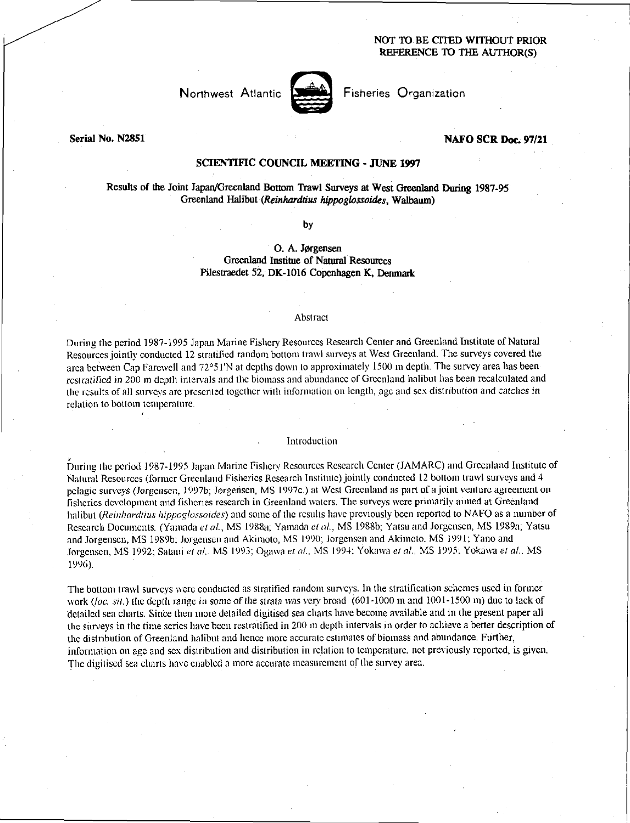## NOT TO BE CITED WITHOUT PRIOR REFERENCE ID THE AUTHOR(S)



Fisheries Organization

Serial No. N2851

## NAFO SCR **Doc.** 97/21

# SCIENTIFIC COUNCIL MEETING - JUNE 1997

# Results of the Joint Japan/Greenland Bottom Trawl Surveys at West Greenland During 1987-95 Greenland Halibut *(Reinharddus hippoglossoides,* Walbaum)

by

# O. A. Jørgensen Greenland Institue of Natural Resources Pilestraedet 52, DK-1016 Copenhagen K, Denmark

#### Abstract

During the period 1987-1995 Japan Marine Fishery Resources Research Center and Greenland Institute of Natural Resources jointly conducted 12 stratified random bottom trawl surveys at West Greenland. The surveys covered the area between Cap Farewell and 72°51'N at depths down to approximately 1500 m depth. The survey area has been *resit-alined* in 200 m depth intervals and the biomass and abundance of Greenland halibut has been recalculated and the results of all surveys are presented together with information on length, age and sex distribution and *catches in*  relation to bottom temperature.

#### Introduction

During the period 1987-1995 Japan Marine Fishery Resources Research Center (JAMARC) and Greenland Institute of Natural Resources (former Greenland Fisheries Research Institute) jointly conducted 12 bottom trawl surveys and 4 pelagic surveys *(Jorgensen,* 19976; Jorgensen, MS 1997c.) at West Greenland as part of a joint venture agreement on fisheries development and fisheries research in Greenland waters. The surveys were primarily aimed at Greenland halibut *(Reinhardtius hippoglossoides)* and some of the results have previously been reported to NAFO as a number of Research Documents. (Yamada *et at,* MS 1988a; Yamada *eta,* MS 1988b; Yatsu and Jorgensen, MS 1989a; Yatsu and Jorgensen, MS 1989b; Jorgensen and Akimoto, MS 1990; Jorgensen and Akimoto, MS 1991; Yano and Jorgensen, MS 1992; Satani *et at.* MS 1993; Ogawa *et at,* MS 1994; Yokawa *et al.,* MS 1995; Yokawa *et at,* MS 1996).

The bottom trawl surveys were conducted as stratified random surveys. In the stratification schemes used in former work *(loc. sit.)* the depth range in some *of the strata was very* broad (601-1000 In and 1001-1500 in) due to lack of detailed sea charts. Since then more detailed digitised sea charts have become available and in the present paper all the surveys in the time series have been restratified in 200 in depth intervals in order to achieve a better description of the distribution of Greenland halibut and hence more accurate estimates of biomass and abundance, Further, information on age and sex distribution and distribution in relation to temperature. not previously reported, is given. The digitised sea charts have enabled a more accurate measurement of the survey area.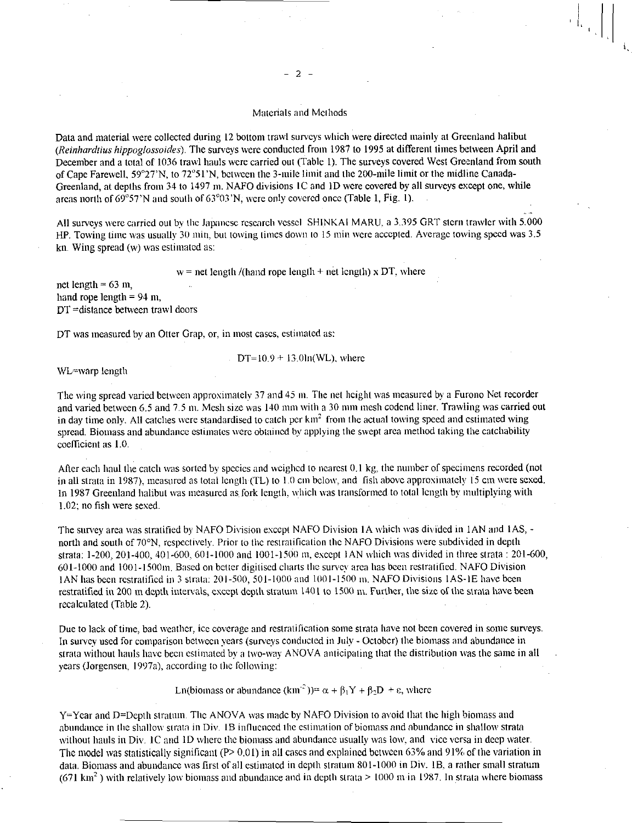### Materials and Methods

Data and material were collected during 12 bottom trawl surveys which were directed mainly at Greenland halibut *(Reinhardtius hippoglossoides).* The surveys were conducted from 1987 to 1995 at different times between April and December and a total of 1036 trawl hauls were carried out (Table 1). The surveys covered West Greenland from south of Cape Farewell, 59°27'N, to 72°51'N, between the 3-mile limit and the 200-mile limit or the midline Canada-Greenland, at depths from 34 to 1497 m. NAFO divisions IC and 1D were covered by all surveys except one, while areas north of  $69°57'N$  and south of  $63°03'N$ ; were only covered once (Table 1, Fig. 1).

All surveys were carried out by the Japanese research vessel SHINKAI MARU, a 3.395 GRT stern trawler with 5.000 HP. Towing time was usually 30 min, but towing times down to 15 min were accepted. Average towing speed was 3.5 kn. Wing spread (w) was estimated as:

 $w =$  net length /(hand rope length + net length) x DT, where

net length =  $63 \text{ m}$ , hand rope length  $= 94$  m. DT =distance between trawl doors

DT was measured by an Otter Crap, or, in most cases, estimated as:

$$
DT=10.9 \pm 13.0 \ln(WL)
$$
, where

WL=warp length

The wing spread varied between approximately 37 and 45 m. The net height was measured by a Furono Net recorder and varied between 6.5 and 7.5 in. Mesh size was 140 mm with a 30 mm mesh codend liner. Trawling was carried out in day time only. All catches were standardised to catch per  $km<sup>2</sup>$  from the actual towing speed and estimated wing spread. Biomass and abundance estimates were obtained by applying the swept area method taking the catchability coefficient as 1.0.

After each haul the catch was sorted by species and weighed to nearest 0.1 kg, the number of specimens recorded (not in all strata in 1987), measured as total length (TL) to 1.0 cm below, and fish above approximately 15 cm were sexed. In 1987 Greenland halibut was measured as fork length, which was transformed to total length by multiplying with 1.02; no fish were sexed.

The survey area was stratified by NAFO Division except NAFO Division IA which was divided in IAN and I AS, north and south of 70°N, respectively. Prior to the restratification the NAFO Divisions were subdivided in depth strata: 1-200, 201-400, 401-600, 601-1000 and 1001-1500 in, except IAN which was divided in three strata : 201-600, 601-1000 and 1001-15001n. Based on better digitised charts the survey area has been restratified. NAFO Division IAN has been restratified in 3 strata: 201-500, 501-1000 and 1001-1500 in. NAFO Divisions IAS-1E have been restratified in 200 m depth intervals, except depth stratum 1401 to 1500 m. Further, the size of the strata have been recalculated (Table 2).

Due to lack of time, bad weather, ice coverage and restratification some strata have not been covered in some surveys. In survey used for comparison between years (surveys conducted in July - October) the biomass and abundance in strata without hauls have been estimated by a two-way ANOVA anticipating that the distribution was the same in all years (Jorgensen, I997a), according to the following:

Ln(biomass or abundance  $(km^2)$ )=  $\alpha + \beta_1 Y + \beta_2 D + \epsilon$ , where

Y=Year and D=Depth stratum. The ANOVA was made by NAFO Division to avoid that the high biomass and abundance in the shallow strata in Div. 1B influenced the estimation of biomass and abundance in shallow strata without hauls in Div. IC and ID where the biomass and abundance usually was low, and vice versa in deep water. The model was statistically significant (P> 0.01) in all cases and explained between 63% and 91% of the variation in data. Biomass and abundance was first of all estimated in depth stratum 801-1000 in Div. 1B, a rather small stratum  $(671 \text{ km}^2)$  with relatively low biomass and abundance and in depth strata > 1000 m in 1987. In strata where biomass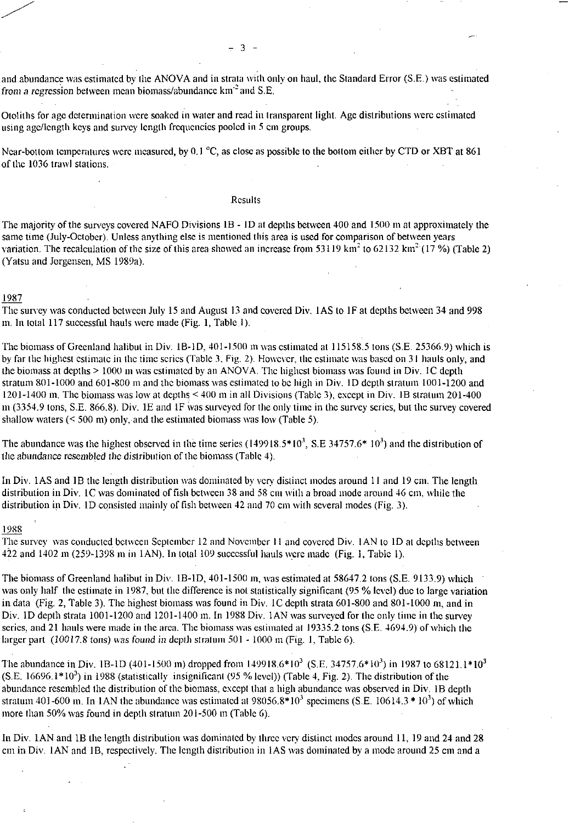and abundance was estimated by the ANOVA and in strata with only on haul, the Standard Error (S.E.) was estimated *from a regression between mean biomass/abundance km<sup>-2</sup> and S.E.* 

Otoliths for age determination were soaked in water and read in transparent light. Age distributions were estimated using age/length keys and survey length frequencies pooled in 5 cm groups.

Near-bottom temperatures were measured, by 0.1 °C, as close as possible to the bottom either by CTD or XBT at 861 of the 1036 trawl stations.

#### **Results**

The majority of the surveys covered NAFO Divisions 1B - ID at depths between 400 and 1500 m at approximately the same time (July-October). Unless anything else is mentioned this area is used for comparison of between years variation. The recalculation of the size of this area showed an increase from 53119  $\text{km}^2$  to 62132  $\text{km}^2$  (17 %) (Table 2) (Yatsu and Jorgensen, MS 1989a).

### 1987

The survey was conducted between July 15 and August 13 and covered Div. lAS to IF at depths between 34 and 998 m. In total 117 successful hauls were made (Fig. 1, Table 1).

The biomass of Greenland halibut in Div. IB-ID, 401-1500 in was estimated at 115158.5 tons (S.E. 25366.9) which is by far the highest estimate in the time series (Table 3, Fig. 2). However, the estimate was based on 31 hauls only, and the biomass at depths > 1000 m was estimated by an ANOVA. The highest biomass was found in Div. IC depth stratum 801-1000 and 601-800 m and the biomass was estimated to be high in Div. ID depth stratum 1001-1200 and 1201-1400 m. The biomass was low at depths < 400 m in all Divisions (Table 3), except in Div. 1B stratum 201-400 m (3354.9 tons, S.E. 866.8). Div. 1E and 1F was surveyed for the only time in the survey series, but the survey covered shallow waters (< 500 m) only, and the estimated biomass was low (Table 5).

The abundance was the highest observed in the time series  $(149918.5*10^3, S.E. 34757.6*10^3)$  and the distribution of the abundance resembled the distribution of the biomass (Table 4).

In Div. lAS and 1B the length distribution was dominated by very distinct modes around 11 and 19 cm. The length distribution in Div. IC was dominated of fish between 38 and 58 cm with a broad mode around 46 cm, while the distribution in Div. 1D consisted mainly of fish between 42 and 70 cm with several modes (Fig. 3).

#### 1988

The survey was conducted between September 12 and November II and covered Div. IAN to ID at depths between 422 and 1402 m (259-1398 m in IAN). In total 109 successful hauls were made (Fig. 1, Table I).

The biomass of Greenland halibut in Div. 1B-1D, 401-1500 in, was estimated at 58647.2 tons (S.E. 9133.9) which was only half the estimate in 1987, but the difference is not statistically significant (95 % level) due to large variation in data (Fig. 2, Table 3). The highest biomass was found in Div. IC depth strata 601-800 and 801-1000 in, and in Div. ID depth strata 1001-1200 and 1201-1400 m. In 1988 Div. lAN was surveyed for the only time in the survey series, and 21 hauls were made in the area. The biomass was estimated at 19335.2 tons (S.E. 4694.9) of which the larger part (10017.8 tons) was *found in* depth stratum 501 - 1000 in (Fig. 1, Table 6).

The abundance in Div. 1B-1D (401-1500 in) dropped from 149918.6\*10<sup>3</sup> (S.E. 34757.6\*10<sup>3</sup>) in 1987 to 68121.1\*10<sup>3</sup>  $($ S.E. 16696.1 $*10<sup>3</sup>$ ) in 1988 (statistically insignificant (95 % level)) (Table 4, Fig. 2). The distribution of the abundance resembled the distribution of the biomass, except that a high abundance was observed in Div. 18 depth stratum 401-600 m. In 1AN the abundance was estimated at  $98056.8*10<sup>3</sup>$  specimens (S.E. 10614.3 \* 10<sup>3</sup>) of which more than 50% was found in depth stratum 201-500 m (Table 6).

In Div. lAN and 1B the length distribution was dominated by three very distinct modes around 11, 19 and 24 and 28 cm in Div. IAN and 1B, respectively. The length distribution in I AS was dominated by a mode around 25 cm and a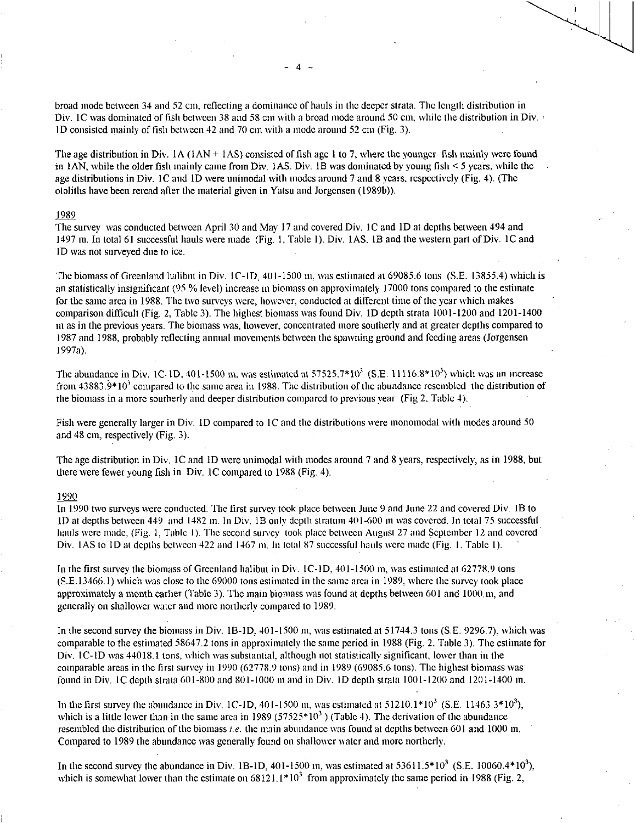broad mode between 34 and 52 cm, reflecting a dominance of hauls in the deeper strata. The length distribution in Div. 1C was dominated of fish between 38 and 58 cm with a broad mode around 50 cm, while the distribution in Div. ID consisted mainly of fish between 42 and 70 cm with a mode around 52 cm (Fig. 3).

The age distribution in Div.  $1A(1AN + 1AS)$  consisted of fish age 1 to 7, where the younger fish mainly were found in IAN, while the older fish mainly came from Div. lAS. Div. 1B was dominated by young fish < 5 years, while the age distributions in Div. IC and ID were unimodal with modes around 7 and 8 years, respectively (Fig. 4). (The otoliths have been reread after the material given in Yatsu and Jorgensen (1989b)).

### 1989

The survey was conducted between April 30 and May 17 and covered Div. IC and ID at depths between 494 and 1497 in. In total 61 successful hauls were made (Fig. 1, Table I). Div. 1AS, 1B and the western part of Div. 1C and 'ID was not surveyed due to ice.

The biomass of Greenland halibut in Div. IC-ID, 401-1500 m, was estimated at 69085.6 tons (S.E. 13855.4) which is an statistically insignificant (95 % level) increase in biomass on approximately 17000 tons compared to the estimate for the same area in 1988. The two surveys were, however, conducted at different time of the year which makes comparison difficult (Fig. 2, Table 3). The highest biomass was found Div. 1D depth strata 1001-1200 and 1201-1400 m as in the previous years. The biomass was, however, concentrated more southerly and at greater depths compared to 1987 and 1988, probably reflecting annual movements between the spawning ground and feeding areas (Jorgensen 1997a).

The abundance in Div. IC-ID. 401-1500 m, was estimated at  $57525.7*10<sup>3</sup>$  (S.E. 11116.8\*10<sup>3</sup>) which was an increase from  $43883.9*10<sup>3</sup>$  compared to the same area in 1988. The distribution of the abundance resembled the distribution of the biomass in a more southerly and deeper distribution compared to previous year (Fig 2. Table 4).

Fish were generally larger in Div. ID compared to IC and the distributions were monomodal with modes around 50 and 48 cm, respectively (Fig. 3).

The age distribution in Div. IC and ID were unimodal with modes around 7 and 8 years, respectively, as in 1988, but there were fewer young fish in Div. 1C compared to 1988 (Fig. 4).

# 1990

In 1990 two surveys were conducted. The first survey took place between June 9 and June 22 and covered Div. 1B to ID at depths between 449 and 1482 in. In Div. IB only depth stratum 401-600 in was covered. In total 75 successful hauls were made, (Fig. I. Table I). The second survey took place between August 27 and September 12 and covered Div. 1AS to 1D at depths between 422 and 1467 m. In total 87 successful hauls were made (Fig. 1, Table 1).

In the first survey the biomass of Greenland halibut in Div. IC-ID, 401-1500 m, was estimated at 62778.9 tons (S.E.13466.1) which was close to the 69000 tons estimated in the same area in 1989, where the survey took place approximately a month earlier (Table 3). The main biomass was found at depths between 601 and 1000.m, and generally on shallower water and more northerly compared to 1989.

In the second survey the biomass in Div. 1B-1D, 401-1500 m, was estimated at 51744.3 tons (S.E. 9296.7), which was comparable to the estimated 58647.2 tons in approximately the same period in 1988 (Fig. 2. Table 3). The estimate for Div. 1C-ID was 44018.1 tons, which was substantial, although not statistically significant, lower than in the comparable areas in the first survey in 1990 (62778.9 tons) and in 1989 (69085.6 tons). The highest biomass was found in Div. IC depth strata 601-800 and 801-1000 in and in Div. ID depth strata 1001-1200 and 1201-1400 in.

In the first survey the abundance in Div. 1C-1D, 401-1500 m, was estimated at  $51210.1*10<sup>3</sup>$  (S.E. 11463.3\*10<sup>3</sup>), which is a little lower than in the same area in 1989 (57525 $*10<sup>3</sup>$ ) (Table 4). The derivation of the abundance resembled the distribution of the biomass *i.e.* the main abundance was found at depths between 601 and 1000 m. Compared to 1989 the abundance was generally found on shallower water and more northerly.

In the second survey the abundance in Div. 1B-1D, 401-1500 in, was estimated at  $53611.5*10^3$  (S.E. 10060.4\*10<sup>3</sup>), which is somewhat lower than the estimate on  $68121.1*10<sup>3</sup>$  from approximately the same period in 1988 (Fig. 2,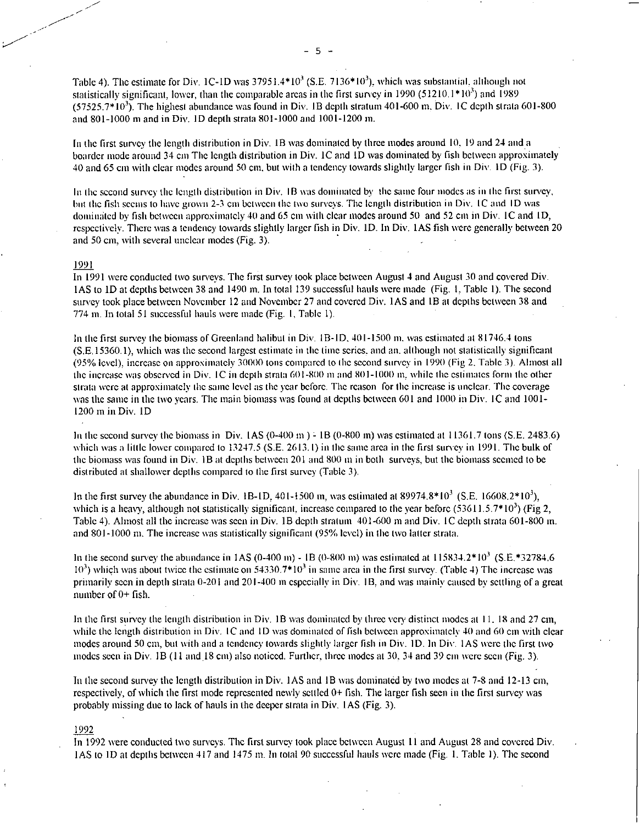Table 4). The estimate for Div. 1C-ID was  $37951.4*10<sup>3</sup>$  (S.E. 7136 $*10<sup>3</sup>$ ), which was substantial, although not statistically significant, lower, than the comparable areas in the first survey in 1990 (51210.1 $*10<sup>3</sup>$ ) and 1989  $(57525.7*10<sup>3</sup>)$ . The highest abundance was found in Div. 1B depth stratum 401-600 m, Div. 1C depth strata 601-800 and 801-1000 m and in Div. ID depth strata 801-1000 and 1001-1200 in.

In the first survey the length distribution in Div. 1B was dominated by three modes around 10, 19 and 24 and a boarder mode around 34 cm The length distribution in Div. IC and ID was dominated by fish between approximately 40 and 65 cm with clear modes around 50 cm, but with a tendency towards slightly larger fish in Div. ID (Fig. 3).

In the second survey the length distribution in Div. 1B was dominated by the same four modes as in the first survey, but the fish seems to have grown 2-3 cm between the two surveys. The length distribution in Div. IC and ID was dominated by fish between approximately 40 and 65 cm with clear modes around 50 and 52 cm in Div. IC and ID, respectively. There was a tendency towards slightly larger fish in Div. ID. In Div. lAS fish were generally between 20 and 50 cm, with several unclear modes (Fig. 3).

## 1991

In 1991 were conducted two surveys. The first survey took place between August 4 and August 30 and covered Div. IAS to ID at depths between 38 and 1490 m. In total 139 successful hauls were made (Fig. I. Table 1). The second survey took place between November 12 and November 27 and covered Div. IAS and IB at depths between 38 and 774 m. In total 51 successful hauls were made (Fig. I, Table 1).

In the first survey the biomass of Greenland halibut in Div. 1B-ID. 401-1500 in. was estimated at 81746.4 tons (S.E.15360.1), which was the second largest estimate in the time series, and an. although not statistically significant (95% level), increase on approximately 30000 tons compared to the second survey in 1990 (Fig 2. Table 3). Almost all the increase was observed in Div. IC in depth strata 601-800 m and 801-1000 m, while the estimates form the other strata were at approximately the same level as the year before. The reason for the increase is unclear. The coverage was the same in the two years. The main biomass was found at depths between 601 and 1000 in Div. IC and 1001- 1200 in in Div. ID

In the second survey the biomass in Div.  $[AS (0-400 m) - 1B (0-800 m)]$  was estimated at  $11361.7$  tons (S.E. 2483.6) which was a little lower compared to 13247.5 (S.E. 2613.1) in the same area in the first survey in 1991. The bulk of the biomass was found in Div. IB at depths between 201 and 800 in in both surveys, but the biomass seemed to be distributed at shallower depths compared to the first survey (Table 3).

In the first survey the abundance in Div. 1B-1D, 401-1500 m, was estimated at 89974.8\*10<sup>3</sup> (S.E. 16608.2\*10<sup>3</sup>), which is a heavy, although not statistically significant, increase compared to the year before (53611.5.7\*10<sup>3</sup>) (Fig 2, Table 4). Almost all the increase was seen in Div. 1B depth stratum 401-600 m and Div. IC depth strata 601-800 m. and 801-1000 in. The increase was statistically significant (95% level) in the two latter strata.

In the second survey the abundance in 1AS (0-400 m) - 1B (0-800 m) was estimated at  $115834.2*10^3$  (S.E.\*32784.6)  $10<sup>3</sup>$ ) which was about twice the estimate on 54330.7\*10<sup>3</sup> in same area in the first survey. (Table 4) The increase was primarily seen in depth strata 0-201 and 201-400 in especially in Div. IB, and was mainly caused by settling of a great number of 0+ fish.

In the first survey the length distribution in Div. IB was dominated by three very distinct modes at 11. 18 and 27 cm, while the length distribution in Div. IC and ID was dominated of fish between approximately 40 and 60 cm with clear modes around 50 cm, but with and a tendency towards slightly larger fish in Div. ID. In Div. IAS were the first two modes seen in Div. 1B (11 and 18 cm) also noticed. Further, three modes at 30, 34 and 39 cm were seen (Fig. 3).

In the second survey the length distribution in Div. IAS and IB was dominated by two modes at 7-8 and 12-13 cm, respectively, of which the first mode represented newly settled 0+ fish. The larger fish seen in the first survey was probably missing due to lack of hauls in the deeper strata in Div. I AS (Fig. 3).

### 1992

In 1992 were conducted two surveys. The first survey took place between August I I and August 28 and covered Div. I AS to ID at depths between 417 and 1475 tn. In total 90 successful hauls were made (Fig. I. Table 1). The second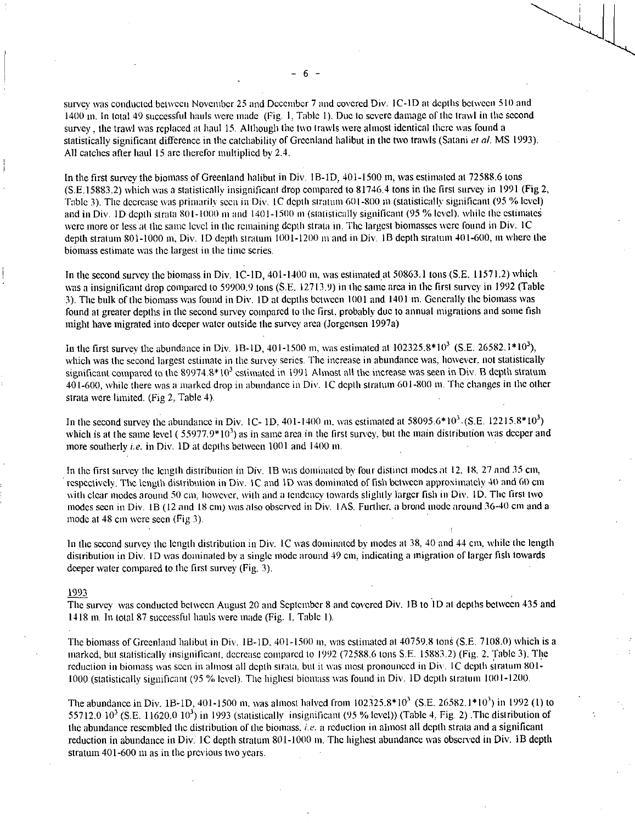survey was conducted between November 25 and December 7 and covered Div. IC-ID at depths between 510 and 1400 m. In total 49 successful hauls were made (Fig. I, Table I). Due to severe damage of the trawl in the second survey , the trawl was replaced at haul 15. Although the two trawls were almost identical there was found a statistically significant difference in the catchability of Greenland halibut in the two trawls (Satani *et al.* MS 1993). All catches after haul 15 are therefor multiplied by 2.4.

In the first survey the biomass of Greenland halibut in Div. 1B-1D, 401-1500 m, was estimated at 72588.6 tons (S.E.15883.2) which was a statistically insignificant drop compared to 81746.4 tons in the first survey in 1991 (Fig 2, Table 3). The decrease was primarily seen in Div. IC depth stratum 601-800 in (statistically significant (95 *"A,* level) and in Div. 1D depth strata 801-1000 m and 1401-1500 m (statistically significant (95 % level), while the estimates were more or less at the same level in the remaining depth strata in. The largest biomasses were found in Div. IC depth stratum 801-1000 m, Div. 1D depth stratum 1001-1200 m and in Div. 1B depth stratum 401-600, m where the biomass estimate was the largest in the time series.

In the second survey the biomass in Div. 1C-1D, 401-1400 m, was estimated at 50863.1 tons (S.E. 11571.2) which was a insignificant drop compared to 59900.9 tons (S.E. 12713.9) in the same area in the first survey in 1992 (Table 3). The bulk of the biomass was found in Div. ID at depths between 1001 and 1401 tn. Generally the biomass was found at greater depths in the second survey compared to the first, probably due to annual migrations and some fish might have migrated into deeper water outside the survey area (Jorgensen 1997a)

In the first survey the abundance in Div. 1B-1D, 401-1500 m, was estimated at  $102325.8*10<sup>3</sup>$  (S.E. 26582.1\*10<sup>3</sup>), which was the second largest estimate in the survey series. The increase in abundance was, however, not statistically significant compared to the  $89974.8*10<sup>3</sup>$  estimated in 1991 Almost all the increase was seen in Div. B depth stratum 401-600, while there was a marked drop in abundance in Div. IC depth stratum 601-800 in. The changes in the other strata were limited. (Fig 2, Table 4).

In the second survey the abundance in Div. 1C- 1D,  $401-1400$  m, was estimated at 58095.6\*10<sup>3</sup>. (S.E. 12215.8\*10<sup>3</sup>) which is at the same level  $(55977.9*10<sup>3</sup>)$  as in same area in the first survey, but the main distribution was deeper and more southerly *i.e.* in Div. 1D at depths between 1001 and 1400 m.

In the first survey the length distribution in Div. 1B was dominated by four distinct modes at 12. 18. 27 and 35 cm, respectively. The length distribution in Div. IC and ID was dominated of fish between approximately 40 and 60 cm with clear modes around 50 cm, however, with and a tendency towards slightly larger fish in Div. ID. The first two modes seen in Div. 1B (12 and 18 cm) was also observed in Div. 1AS. Further. a broad mode around 36-40 cm and a mode at 48 cm were seen (Fig 3).

In the second survey the length distribution in Div. IC was dominated by modes at 38, 40 and 44 cm, while the length distribution in Div. ID was dominated by a single mode around 49 cm, indicating a migration of larger fish towards deeper water compared to the first survey (Fig. 3).

### 1993

The survey was conducted between August 20 and September 8 and covered Div. 1B to 1D at depths between 435 and 1418 m. In total 87 successful hauls were made (Fig. 1. Table I).

The biomass of Greenland halibut in Div. 1B-1D, 401-1500 in, was estimated at 40759.8 tons (S.E. 7108.0) which is a marked, but statistically insignificant, decrease compared to 1992 (72588.6 tons S.F. 15883.2) (Fig. 2. Table 3). The reduction in biomass was seen in almost all depth strata, but it was most pronounced in Div. IC depth stratum 801- 1000 (statistically significant (95 % level). The highest biomass was found in Div. ID depth stratum 1001-1200.

The abundance in Div. 1B-1D, 401-1500 m, was almost halved from  $102325.8*10^3$  (S.E. 26582.1\*10<sup>3</sup>) in 1992 (1) to 55712.0  $10^3$  (S.E. 11620.0  $10^3$ ) in 1993 (statistically insignificant (95 % level)) (Table 4, Fig. 2) The distribution of the abundance resembled the distribution of the biomass, *i.e.* a reduction in almost all depth strata and a significant reduction in abundance in Div. 1C depth stratum 801-1000 m. The highest abundance was observed in Div. 1B depth stratum 401-600 m as in the previous two years.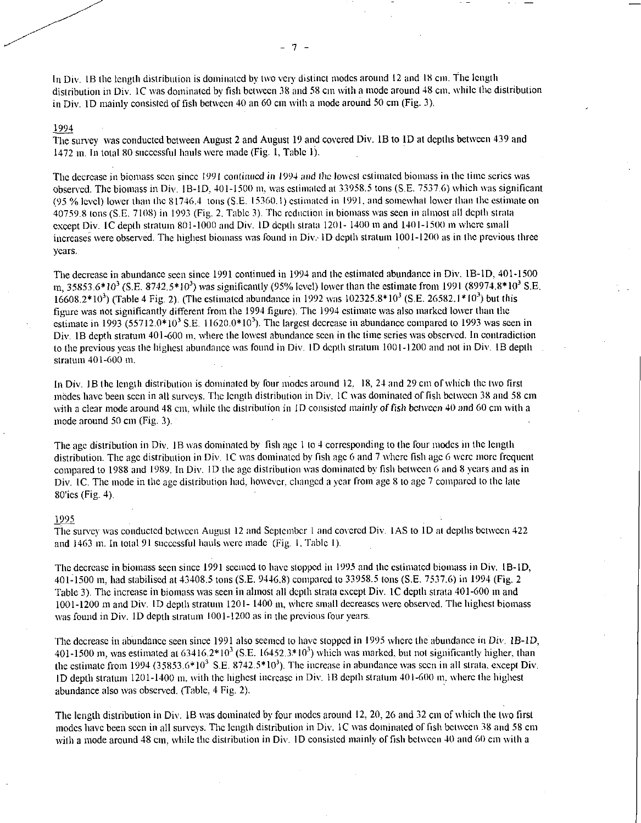In Div. lB the length distribution is dominated by two very distinct modes around 12 and 18 cm. The length distribution in Div. 1C was dominated by fish between 38 and 58 cm with a mode around 48 cm, while the distribution in Div. ID mainly consisted of fish between 40 an 60 cm with a mode around 50 cm (Fig. 3).

### 1994

The survey was conducted between August 2 and August 19 and covered Div. IB to 1D at depths between 439 and 1472 m. In total 80 successful hauls were made (Fig. 1, Table 1).

The decrease in biomass seen since 1991 continued in 1994 and the lowest estimated biomass in the time series was observed. The biomass in Div. IB-ID, 401-1500 in. was estimated at 33958.5 tons (S.E. 7537.6) which was significant (95 % level) lower than the 81746.4 tons (S.E. 15360. I) estimated in 1991, and somewhat lower than the estimate on 40759.8 tons (S.F. 7108) in 1993 (Fig. 2. Table 3). The reduction in biomass was seen in almost all depth strata except Div. IC depth stratum 801-1000 and Div. ID depth strata 1201- 1400 m and 1401-1500 m where small increases were observed. The highest biomass was found in Div: ID depth stratum 1001-1200 as in the previous three years.

The decrease in abundance seen since 1991 continued in 1994 and the estimated abundance in Div. 1B-ID, 401-1500  $\rm m$ , 35853.6\*10<sup>3</sup> (S.E. 8742,5\*10<sup>3</sup>) was significantly (95% level) lower than the estimate from 1991 (89974.8\*10<sup>3</sup> S.E. 16608.2\*10<sup>3</sup>) (Table 4 Fig. 2). (The estimated abundance in 1992 was 102325.8\*10<sup>3</sup> (S.E. 26582.1\*10<sup>3</sup>) but this figure was not significantly different from the 1994 figure). The 1994 estimate was also marked lower than the estimate in 1993 (55712.0\*10<sup>3</sup> S.E. 11620.0\*10<sup>3</sup>). The largest decrease in abundance compared to 1993 was seen in Div. 1B depth stratum 401-600 m, where the lowest abundance seen in the time series was observed. In contradiction to the previous yeas the highest abundance was found in Div. ID depth stratum 1001-1200 and not in Div. 1B depth . stratum 401-600 m.

In Div. 1B the length distribution is dominated by four modes around 12, 18, 24 and 29 cm of which the two first modes have been seen in all surveys. The length distribution in Div. IC was dominated of fish between 38 and 58 cm with a clear mode around 48 cm, while the distribution in ID consisted mainly of fish between 40 and 60 cm with a mode around 50 cm (Fig. 3). •

The age distribution in Div. IB was dominated by fish age I to 4 corresponding to the four modes in the length distribution. The age distribution in Div. 1C was dominated by fish age 6 and 7 where fish age 6 were more frequent compared to 1988 and 1989. In Div. ID the age distribution was dominated by fish between 6 and 8 years and as in Div. IC. The mode in the age distribution had, however, changed a year from age 8 to age 7 compared to the late 80'ies (Fig. 4).

#### 1995

The survey was conducted between August 12 and September I and covered Div. I AS to ID at depths between 422 and 1463 m. In total 91 successful hauls were made (Fig. I. Table 1).

The decrease in biomass seen since 1991 seemed to have stopped in 1995 and the estimated biomass in Div. IB-ID, 401-1500 m, had stabilised at 43408.5 tons (S.E. 9446.8) compared to 33958.5 tons (S.E. 7537.6) in 1994 (Fig. 2 Table 3). The increase in biomass was seen in almost all depth strata except Div. IC depth strata 401-600 in and 1001-1200 in and Div. ID depth stratum 1201- 1400 m, where small decreases were observed. The highest biomass was found in Div. ID depth stratum 1001-1200 as in the previous four years.

The decrease in abundance seen since 1991 also seemed to have stopped in 1995 where the abundance in Div. 1B-1D, 401-1500 m, was estimated at  $63416.2*10^3$  (S.E. 16452.3\*10<sup>3</sup>) which was marked, but not significantly higher, than the estimate from 1994 (35853.6\*10<sup>3</sup> S.E. 8742.5\*10<sup>3</sup>). The increase in abundance was seen in all strata, except Div. ID depth stratum 1201-1400 m. with the highest increase in Div. IB depth stratum 401-600 in, where the highest abundance also was observed. (Table, 4 Fig. 2).

The length distribution in Div. lB was dominated by four modes around 12, 20, 26 and 32 cm of which the two first modes have been seen in all surveys. The length distribution in Div. IC was dominated of fish between 38 and 58 cm with a mode around 48 cm, while the distribution in Div. 1D consisted mainly of fish between 40 and 60 cm with a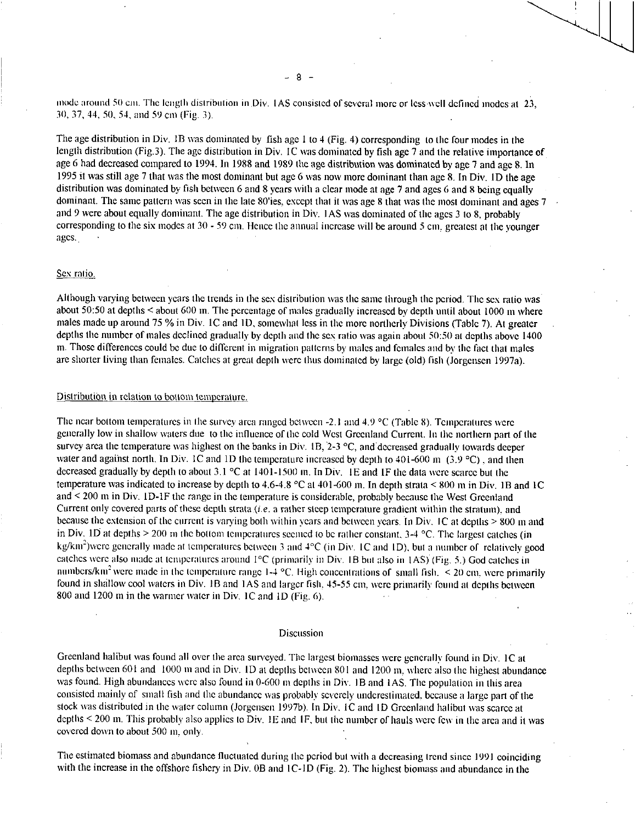mode around 50 cm. The length distribution in Div. 1AS consisted of several more or less-well defined modes at 23, 30, 37, 44, 50, 54, and 59 cm (Fig. 3).

The age distribution in Div. 1B was dominated by fish age 1 to 4 (Fig. 4) corresponding to the four modes in the length distribution (Fig.3). The age distribution in Div. IC was dominated by fish age 7 and the relative importance of age 6 had decreased compared to 1994. In 1988 and 1989 the age distribution was dominated by age 7 and age 8. In 1995 it was still age 7 that was the most dominant but age 6 was now more dominant than age 8. In Div. ID the age distribution was dominated by fish between 6 and 8 years with a clear mode at age 7 and ages 6 and 8 being equally dominant. The same pattern was seen in the late 80'ies, except that it was age 8 that was the most dominant and ages  $7 \div 2$ and 9 were about equally dominant. The age distribution in Div. IAS was dominated of the ages 3 to 8, probably corresponding to the six modes at 30 - 59 cm. Hence the annual increase will be around 5 cm, greatest at the younger ages.

### Sex ratio.

Although varying between years the trends in the sex distribution was the same through the period. The sex ratio was about 50:50 at depths < about 600 in. The percentage of males gradually increased by depth until about 1000 m where males made up around 75 % in Div. 1C and ID, somewhat less in the more northerly Divisions (Table 7). At greater depths the number of males declined gradually by depth and the sex ratio was again about 50:50 at depths above 1400 m. Those differences could be due to different in migration patterns by males and females and by the fact that males are shorter living than females. Catches at great depth were thus dominated by large (old) fish (Jorgensen 1997a).

## Distribution in relation to bottom temperature.

The near bottom temperatures in the survey area ranged between -2.1 and 4.9 °C (Table 8). Temperatures were generally low in shallow waters due to the influence of the cold West Greenland Current. In the northern part of the survey area the temperature was highest on the banks in Div. 1B, 2-3  $^{\circ}$ C, and decreased gradually towards deeper water and against north. In Div. 1C and 1D the temperature increased by depth to 401-600 m  $(3.9 \degree C)$ , and then decreased gradually by depth to about 3.1 °C at 1401-1500 in. In Div. 1E and IF the data were scarce but the temperature was indicated to increase by depth to 4.6-4.8 °C at 401-600 in. In depth strata < 800 in in Div. 1B and IC and < 200 m in Div. ID-1F the range in the temperature is considerable, probably because the West Greenland Current only covered parts of these depth strata *(i.e.* a rather steep temperature gradient within the stratum), and because the extension of the current is varying both within years and between years. In Div. IC at depths > 800 m and in Div. 1D at depths  $> 200$  m the bottom temperatures seemed to be rather constant,  $3-4$  °C. The largest catches (in kg/km<sup>2</sup>)were generally made at temperatures between 3 and 4°C (in Div. 1C and 1D), but a number of relatively good catches were also made at temperatures around 1°C (primarily in Div. 1B but also in I AS) (Fig. 5.) God catches in numbers/km<sup>2</sup> were made in the temperature range 1-4 °C. High concentrations of small fish.  $\leq$  20 cm, were primarily found in shallow cool waters in Div. 1B and 1AS and larger fish, 45-55 cm, were primarily found at depths between 800 and 1200 m in the warmer water in Div. 1C and 1D (Fig. 6).

### Discussion

Greenland halibut was found all over the area surveyed. The largest biomasses were generally found in Div. IC at depths between 601 and 1000 m and in Div. 1D at depths between 801 and 1200 m, where also the highest abundance was found. High abundances were also found in 0-600 m depths in Div. 1B and 1AS. The population in this area consisted mainly of small fish and the abundance was probably severely underestimated, because a large part of the stock was distributed in the water column (Jorgensen 1997b). In Div. 1C and 1D Greenland halibut was scarce at depths < 200 m. This probably also applies to Div. 1E and IF, but the number of hauls were few in the area and it was covered down to about 500 in, only.

The estimated biomass and abundance fluctuated during the period but with a decreasing trend since 1991 coinciding with the increase in the offshore fishery in Div. 0B and IC-ID (Fig. 2). The highest biomass and abundance in the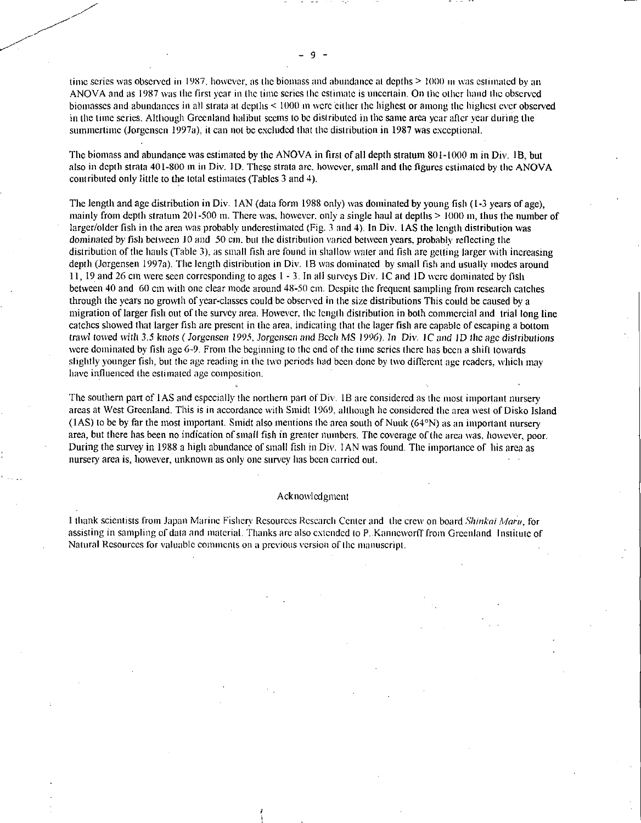time series was observed in 1987, however, as the biomass and abundance at depths  $\geq 1000$  m was estimated by an ANOVA and as 1987 was the first year in the time series the estimate is uncertain. On the other hand the observed biomasses and abundances in all strata at depths < 1000 m were either the highest or among the highest ever observed in the time series. Although Greenland halibut seems to be distributed in the same area year after year during the summertime (Jorgensen 1997a), it can not be excluded that the distribution in 1987 was exceptional.

The biomass and abundance was estimated by the ANOVA in first of all depth stratum 801-1000 m in Div. IB, but also in depth strata 401-800 m in Div. ID. These strata are, however, small and the figures estimated by the ANOVA contributed only little to the total estimates (Tables 3 and 4).

The length and age distribution in Div. IAN (data form 1988 only) was dominated by young fish (1-3 years of age), mainly from depth stratum 201-500 m. There was, however, only a single haul at depths  $> 1000$  m, thus the number of larger/older fish in the area was probably underestimated (Fig. 3 and 4). In Div. 1AS the length distribution was dominated by fish between 10 and 50 cm. but the distribution varied between years, probably reflecting the distribution of the hauls (Table 3), as small fish are found in shallow water and fish are getting larger with increasing depth (Jorgensen 1997a). The length distribution in Div. 1B was dominated by small fish and usually modes around 11, 19 and 26 cm were seen corresponding to ages 1 - 3. In all surveys Div. IC and ID were dominated by fish between 40 and 60 cm with one clear mode around 48:50 cm. Despite the frequent sampling from research catches through the years no growth of year-classes could be observed in the size distributions This could be caused by a migration of larger fish out of the survey area. However, the length distribution in both commercial and trial long line catches showed that larger fish are present in the area, indicating that the lager fish are capable of escaping a bottom trawl towed with 3.5 knots ( Jorgensen 1995, *Jorgensen and* Bech MS 1996). *In* Div. IC and ID *the age distributions*  were dominated by fish age 6-9. From the beginning to the end of the time series there has been a shift towards slightly younger fish, but the age reading in the two periods had been done by two different age readers, which may have influenced the estimated age composition.

The southern part of 1AS and especially the northern part of Div. 1B are considered as the most important nursery areas at West Greenland. This is in accordance with Smidt 1969, although he considered the area west of Disko Island  $(1AS)$  to be by far the most important. Smidt also mentions the area south of Nuuk  $(64°N)$  as an important nursery area, but there has been no indication of small fish in greater numbers. The coverage of the area was, however, poor. During the survey in 1988 a high abundance of small fish in Div. IAN was found. The importance of his area as nursery area is, however, unknown as only one survey has been carried out.

#### Acknowledgment

1 thank scientists from Japan Marine Fishery Resources Research Center and the crew on board *Shinkni Marti,* for assisting in sampling of data and material. Thanks are also extended to P..Kanneworff from Greenland Institute of Natural Resources for valuable comments on a previous version of the manuscript.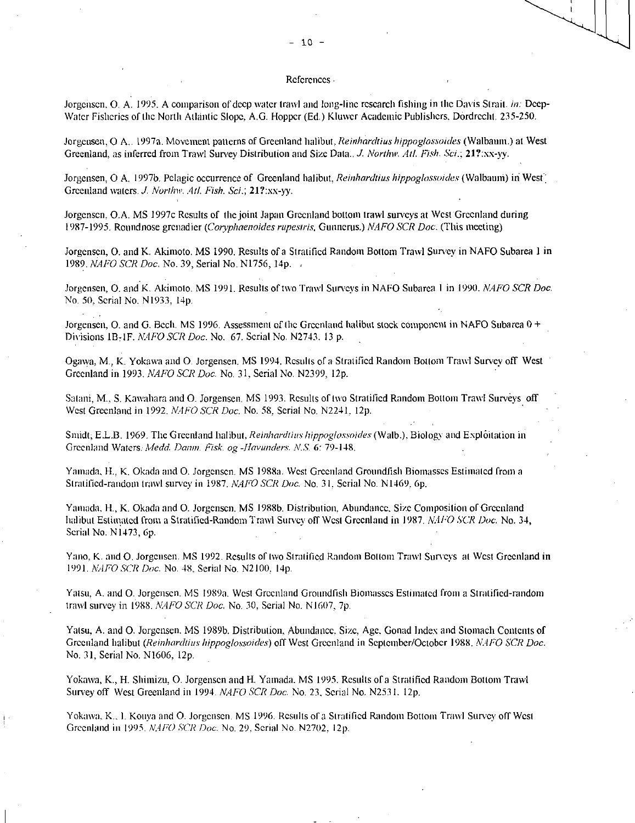## $-10 -$

### References

Jorgensen. 0. A. 1995. A comparison of deep water trawl and long-line research fishing in the Davis Strait. *in:* Deep-Water Fisheries of the North Atlantic Slope, A.G. Hopper (Ed.) Kluwer Academic Publishers, Dordrecht. 235-250.

Jorgensen, 0 A.. 1997a. Movement patterns of Greenland halibut. *Reinhardtius hippoglossoides* (Walbaum.) at West Greenland, as inferred from Trawl Survey Distribution and Size Data.../. *Northiv. All. Fish. Sci.;* 21?:xx-yy.

Jorgensen, O A. 1997b. Pelagic occurrence of Greenland halibut, *Reinhardtius hippoglossoides* (Walbaum) in West<sup>\*</sup> Greenland waters. *J. Northw. Atl. Fish. Sci.*; 21?:xx-yy.

Jorgensen, O.A. MS 1997c Results of the joint Japan Greenland bottom trawl surveys at West Greenland during 1987-1995. Roundnose grenadier *(Coryphaenoides rupestris,* Gunners.) *NAFO SCR Doc.* (This meeting)

Jorgensen, 0. and K. Akimoto. MS 1990. Results of a Stratified Random Bottom Trawl Survey in NAFO Subarea 1 in 1989. *NAFO SCR Doc.* No. 39, Serial No. N1756, 14p. ,

Jorgensen, 0. and K. Akimoto. MS 1991. Results of two Trawl Surveys in NAFO Subarea I in 1990. *NAFO SCR Doc.*  No. 50, Serial No. N1933, 14p,

Jorgensen, O. and G. Bech. MS 1996. Assessment of the Greenland halibut stock component in NAFO Subarea 0 + Divisions 113,1F. *NAPO SCR Doc.* No. 67, Serial No. N2743. 13 p.

Ogawa, M., K. Yokawa and 0. Jorgensen. MS 1994. Results of a Stratified Random Bottom Trawl Survey off West Greenland in 1993. *NAFO SCR Doc.* No. 31, Serial No. N2399, 12p.

Satani, M., S. Kawahara and O. Jorgensen. MS 1993. Results of two Stratified Random Bottom Trawl Surveys off West Greenland in 1992. *NAFO SCR Doc.* No. 58, Serial No. N2241, 12p.

Smidt; E.L.B. 1969. The Greenland halibut, *Reinhardtius hippoglossoides* (Walb.), Biology and Exploitation in Greenland *Waters: Medd. Dawn. Fisk. og -Havunders. N.S.* 6: 79-148.

Yamada, H., K. Okada and 0. Jorgensen. MS I988a. West Greenland Groundfish Biomasses Estimated from a Stratified-random trawl survey in 1987. *NATO SCR Doc.* No. 31. Serial No. N1469, 6p.

Yamada, H., K. Okada and 0. Jorgensen. MS 1988b. Distribution, Abundance, Size Composition of Greenland halibut Estimated from a Stratified-Random Trawl Survey off West Greenland in 1987. *N.,11<sup>2</sup>0 SCR Doc.* No. 34, Serial No. N1473, 6p.

Yano, K. and 0. Jorgensen. MS 1992. Results of two Stratified Random Bottom Trawl Surveys at West Greenland in 1991. *NAFO SCR Doc.* No. 48, Serial No. N2100, 14p.

Yatsu, A. and 0. Jorgensen. MS 1989a. West Greenland Groundfish Biomasses Estimated from a Stratified-random trawl survey in 1988. N4/70 *SCR Doc.* No. 30, Serial No. N1607, 7p.

Yatsu, A. and 0. Jorgensen. MS I989b. Distribution, Abundance, Size, Age, Gonad Index and Stomach Contents of Greenland halibut *(Reinhardtius hippoglossoides)* off West Greenland in September/October 1988. NAFO SCR Doc. No. 31, Serial No. N1606, 12p.

Yokawa, K., H. Shimizu, 0. Jorgensen and H. Yamada. MS 1995. Results of a Stratified Random Bottom Trawl Survey off West Greenland in 1994. *NAFO SCR Doc.* No. 23, Serial No. N2531, 12p.

Yokawa, K., I. Konya and 0. Jorgensen. MS 1996, Results of a Stratified Random Bottom Trawl Survey off West Greenland in 1995. NAFO *SCR Doc.* No. 29. Serial No. N2702. I2p.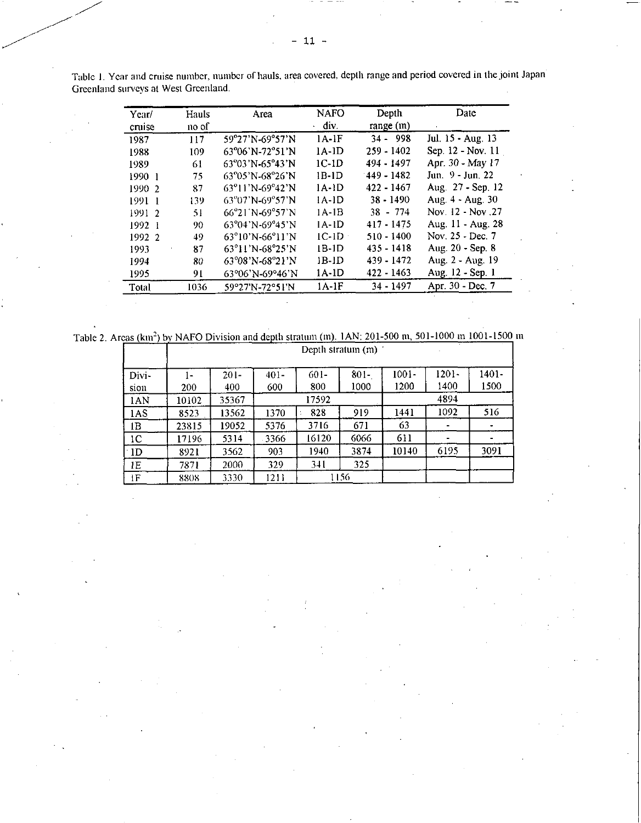| Year/<br>cruise | Hauls<br>no of | Area                                            | NAFO<br>div. | Depth<br>range (m) | Date              |
|-----------------|----------------|-------------------------------------------------|--------------|--------------------|-------------------|
| 1987            | 117            | 59°27'N-69°57'N                                 | $1A-1F$      | $34 - 998$         | Jul. 15 - Aug. 13 |
| 1988            | 109            | $63^{\circ}06'$ N-72°51'N                       | $1A-1D$      | $259 - 1402$       | Sep. 12 - Nov. 11 |
| 1989            | 61             | $63^{\circ}03'$ N-65°43'N                       | $1C-1D$      | 494 - 1497         | Apr. 30 - May 17  |
| 1990 1          | 75             | $63^{\circ}05'$ N-68°26'N                       | $1B-1D$      | 149 - 1482         | Jun. 9 - Jun. 22  |
| 1990 2          | 87             | $63^{\circ}11'$ N-69°42'N                       | 1A-1D        | 422 - 1467         | Aug. 27 - Sep. 12 |
| 1991 1          | 139            | 63°07'N-69°57'N                                 | $IA$ - $ID$  | $38 - 1490$        | Aug. 4 - Aug. 30  |
| 1991 2          | 51             | $66^{\circ}21^{\circ}N - 69^{\circ}57^{\circ}N$ | $1A-1B$      | $38 - 774$         | Nov. 12 - Nov. 27 |
| 1992            | 90             | $63^{\circ}04'$ N-69°45'N                       | 1A-1D        | $417 - 1475$       | Aug. 11 - Aug. 28 |
| 1992 2          | 49             | $63^{\circ}10'$ N-66 $^{\circ}11'$ N            | $IC-1D$      | $510 - 1400$       | Nov. 25 - Dec. 7  |
| 1993            | 87             | $63^{\circ}11'$ N-68°25'N                       | 1B-1D        | $435 - 1418$       | Aug. 20 - Sep. 8  |
| 1994            | 80             | 63°08'N-68°21'N                                 | 1B-1D        | 439 - 1472         | Aug. 2 - Aug. 19  |
| 1995            | 91             | 63°06'N-69°46'N                                 | $1A$ - $1D$  | $422 - 1463$       | Aug. 12 - Sep. 1  |
| Total           | 1036           | 59°27'N-72°51'N                                 | $1A-1F$      | $34 - 1497$        | Apr. 30 - Dec. 7  |

Table I. Year and cruise number, number of hauls, area covered, depth range and period covered in the joint Japan Greenland surveys at West Greenland.

Table 2. Areas (km<sup>2</sup>) by NAFO Division and depth stratum (m). 1AN: 201-500 m, 501-1000 m 1001-1500 m

|       |       |         |         |         | Depth stratum (m) |          |          |       |
|-------|-------|---------|---------|---------|-------------------|----------|----------|-------|
| Divi- | - ا   | $201 -$ | $401 -$ | $601 -$ | $801 -$           | $1001 -$ | $1201 -$ | 1401- |
| sion  | 200   | 400     | 600     | 800     | 1000              | 1200     | 1400     | 1500  |
| 1AN   | 10102 | 35367   |         | 17592   |                   |          | 4894     |       |
| 1AS.  | 8523  | 13562   | 1370    | 828     | 919               | 1441     | 1092     | 516   |
| 1B    | 23815 | 19052   | 5376    | 3716    | 671               | 63       |          | ۰     |
| 1C    | 17196 | 5314    | 3366    | 16120   | 6066              | 611      |          | ۰     |
| 1D    | 8921  | 3562    | 903     | 1940    | 3874              | 10140    | 6195     | 3091  |
| IE    | 7871  | 2000    | 329     | 341     | 325               |          |          |       |
| ١F    | 8808  | 3330    | 1211    |         | 1156              |          |          |       |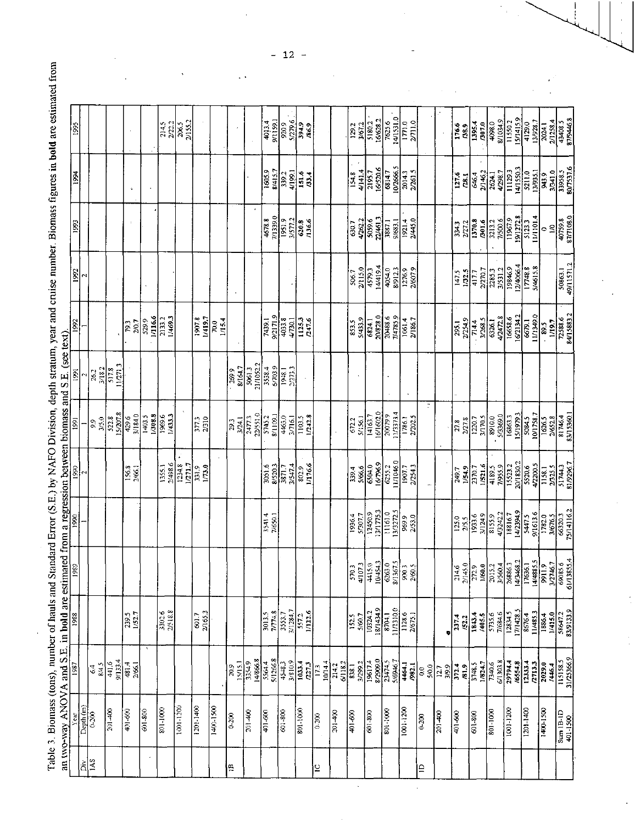| l                                                                       |                                                      |
|-------------------------------------------------------------------------|------------------------------------------------------|
|                                                                         |                                                      |
| h circum veger and cruise pumber. Riomacc figures in bold are ectimated |                                                      |
|                                                                         | regreement hotmoon biomoon ond S. E. (coe text)<br>I |
|                                                                         |                                                      |
|                                                                         |                                                      |
| $\text{or } (S.E.)$ by NAFO Division                                    |                                                      |
| これのする しょうかん                                                             | i<br>T                                               |
| į                                                                       |                                                      |
| ;<br>;<br>$\ddot{\cdot}$                                                | an tructured ANOVA and S E in hold are settimored    |
|                                                                         |                                                      |
| יק<br>קובודי                                                            |                                                      |
|                                                                         |                                                      |

|                 | an two-way ANOVA and S.E.                           |                                                           | in bold are estimat                 |                                                         |                                            |                                     | ed from a regression between biomass and S.E. (see text). |                     |                          |                              |                                 |                                                                                        |                                                 |  |
|-----------------|-----------------------------------------------------|-----------------------------------------------------------|-------------------------------------|---------------------------------------------------------|--------------------------------------------|-------------------------------------|-----------------------------------------------------------|---------------------|--------------------------|------------------------------|---------------------------------|----------------------------------------------------------------------------------------|-------------------------------------------------|--|
|                 |                                                     | $\frac{1}{96}$                                            | 1988                                | $\frac{1985}{2}$                                        |                                            |                                     |                                                           |                     | §                        | 1992                         | 1993                            | 1994                                                                                   | 1995                                            |  |
| <b>IAS</b><br>ă | $\overline{\mathrm{Depth}\,(\mathrm{m})}$<br> §<br> |                                                           |                                     |                                                         |                                            |                                     |                                                           | M                   |                          | Z                            |                                 |                                                                                        |                                                 |  |
|                 |                                                     | $rac{64}{845}$                                            |                                     |                                                         |                                            |                                     | 3/5.0<br>9.9                                              | 3/18.2<br>26.2      |                          |                              |                                 |                                                                                        |                                                 |  |
|                 | $\frac{1}{201-400}$                                 | 9/1334<br>441.6                                           |                                     |                                                         |                                            |                                     | 15/207.8<br>522.8                                         | 11/271.3<br>517.8   |                          |                              |                                 |                                                                                        |                                                 |  |
|                 | 401-600                                             | 481.4<br>2/66                                             | 239.5<br>1/52.7                     |                                                         |                                            | 156.8<br>2/66.1                     | 3/184.0<br>429.6                                          |                     | 20.7<br>793              |                              |                                 |                                                                                        |                                                 |  |
| $\epsilon$      | 601-800                                             |                                                           |                                     |                                                         |                                            |                                     | 1/308.8<br>1403.5                                         |                     | 1/116.6<br>529.9         |                              |                                 |                                                                                        |                                                 |  |
|                 | 801-1000                                            |                                                           | 3302.6                              |                                                         |                                            | 2/498.6<br>1355.1                   | 1969.6<br>1/433.3                                         |                     | 1/469.3<br>2133.2        |                              |                                 |                                                                                        | $\frac{2145}{2222}$                             |  |
|                 | 1001-1200                                           |                                                           |                                     |                                                         |                                            | 1234.8<br>1/271.7                   |                                                           |                     |                          |                              |                                 |                                                                                        | 2/155.2<br>206.5                                |  |
|                 | 1201-1400                                           |                                                           | 2/165.3<br>601.7                    |                                                         |                                            | 331.9<br>1/73.0                     | 3773                                                      |                     | 1907.8<br>1/419.7        |                              |                                 |                                                                                        |                                                 |  |
|                 | 1400-1500                                           |                                                           |                                     |                                                         |                                            |                                     |                                                           |                     | 1/15.4<br>70.0           |                              |                                 |                                                                                        |                                                 |  |
| 兽               | 0.200                                               | 20.9                                                      |                                     |                                                         |                                            |                                     | 3/24.1<br>29.3                                            | 8/164.7<br>269.9    |                          |                              |                                 |                                                                                        |                                                 |  |
|                 | 201-400                                             | 14/866.8<br>$\frac{1513}{3349}$                           |                                     |                                                         |                                            |                                     | 22/551.0<br>2477.3                                        | 21/1052.2<br>5061.3 |                          |                              |                                 |                                                                                        |                                                 |  |
|                 | 401-600                                             | 5564.4<br>5/1266.8                                        | $\frac{30135}{2774.8}$              |                                                         | 3541.4<br>7/650.1                          | 3051.6<br>8/5203                    | 8/1109.1<br>5745.2                                        | 3538.4              | 9/2171.9<br>7439.1       |                              | 7/1339.0<br>4678.8              | 1605.9<br>8/415.7                                                                      | <b>1641/6</b><br>4013.4                         |  |
|                 | 601-800                                             | 3/810.9<br>4548.3                                         | 3553.7<br>3/1284.7<br>557.2         |                                                         |                                            | 3/5474<br>$\frac{1}{38717}$         | 4463.0<br>3/716.1                                         | 2/273.3<br>1948.1   | 4033.8<br>4/730.1        |                              | 3/577.2<br>1951.9               | 4/199.1<br>339.2                                                                       | 920.9                                           |  |
|                 | 801-1000                                            | $\frac{1033.4}{727.3}$                                    | 1/122.6                             |                                                         |                                            | 1/176.6<br>802.9                    | 1/242.8<br>1103.5                                         |                     | 1125.3<br>747.6          |                              | 620.8                           | 151.6<br>133.4                                                                         | S/279.6<br>394.9<br>/86.9                       |  |
| $\overline{c}$  | 0.200                                               | 10/14.4<br>$\overline{173}$                               |                                     |                                                         |                                            |                                     |                                                           |                     |                          |                              |                                 |                                                                                        |                                                 |  |
|                 | 201-400                                             | 6/118.2<br>214.2                                          |                                     |                                                         |                                            |                                     | $\ddot{\phantom{0}}$                                      |                     |                          |                              |                                 |                                                                                        |                                                 |  |
|                 | 401-600                                             | $\frac{1}{8381}$                                          | $\overline{152.5}$<br>5/60.7        | 4/107.3<br>570.3                                        | 5/307.7<br>1956.4                          | 339.4                               | 5/156.1<br>672.2                                          |                     | 5/433.9<br>853.5         | 2/15.0<br>506.7              | 630.7                           | 4/141.4<br>154.8                                                                       | 3/67.2<br>129.2                                 |  |
|                 | 601-800                                             | 8/2909.0<br>3/299.2                                       | 8/1434.9<br>10324.2                 | $\frac{4415.0}{2}$                                      | 13/1775.3<br>12450.9                       | $\frac{63040}{16/756}$              | 6/1602.0<br>14163.7                                       |                     | 20/828.0<br>6824.1       | 14/419.4<br>4579.3           | 22461.3<br>42622<br>5059.6      | 16/520.6<br>$\frac{1}{2193.7}$                                                         | 16/628.2<br>5180.2                              |  |
|                 | 801-1000                                            | 23474.5<br>5/6946.7                                       | 11/1310.0<br>8704.1                 | $\frac{104543}{6263.0}$<br>$\frac{6753}{900.3}$         | 13/3272.5<br>1161.0                        | 11/1046.0<br>6255.2                 | 11/373.4<br>20079.9                                       |                     | 20488.6<br>7/4785.9      | 8/912.3<br>4054.0            | 9/683.1<br>3887.1               | 6814.7                                                                                 | 14/1531.0<br>7625.6                             |  |
|                 | $1001 - 1200$                                       | 4464.1<br>.982.1                                          | $\frac{11286}{2675.1}$              |                                                         | 969.9<br>2/53.0                            | 1907.7<br>2/254.3                   | 2/202.5<br>1786.1                                         |                     | $\frac{1061.4}{2/186.7}$ | 1276.9                       | 19214<br>2/445.0                | 10/2666.5<br>2014.3<br>2/261.5                                                         | $\begin{array}{c} 1771.0 \\ 0.1772 \end{array}$ |  |
| $\overline{a}$  | $0 - 200$                                           | 5/0.0<br>$\frac{6}{3}$                                    |                                     |                                                         |                                            |                                     | ÷                                                         |                     |                          |                              |                                 |                                                                                        |                                                 |  |
|                 | 201400                                              |                                                           |                                     |                                                         |                                            |                                     |                                                           |                     |                          |                              |                                 |                                                                                        |                                                 |  |
|                 | 401-600                                             | $\frac{12.7}{3/9.9}$<br>3/9.9<br>81.9                     | 237.4<br>/52.2                      | $\frac{2146}{27145.0}$                                  | $125.0$<br>$2/5.5$                         | 1/54.9<br>749.7                     | 2/27.8<br>27.8                                            |                     | 2/254.9<br>295.1         | 1/32.5<br>147.5              | 2/272<br><b>EFEE</b>            | 127.6<br>78.1                                                                          | 176.6<br><b>138.9</b>                           |  |
|                 | 601-800                                             | 3748.5<br>1/824.7                                         | 3843.4<br>405.5                     | 1/60.0                                                  | 3/124.9<br>1933.6                          | 1/521.6<br>2370.7                   | 3/170.5<br>1220.7                                         |                     | 3/268.5<br>714.4         | 2/270.7<br>$\frac{1}{417}$   | 1370.8<br>/301.6                | 2/146.2<br>646.4                                                                       | 1395.4<br>/307.0                                |  |
|                 | 801-1000                                            | 7340.6<br>6/1303.8                                        | 5735.6                              | 2015.2                                                  | 4/3242.2<br>8155.9                         | 1/955.9<br>4189.5                   | 5/3369.0<br>8910.0                                        |                     | 4/2472.8<br>6326.1       | 2285.3<br>3/531.2            | 7/500.6<br>3213.2               |                                                                                        | 8/1034.9<br>4098.0                              |  |
|                 | 1001-1200                                           | 29794.4<br>6554.8                                         | 12834.5<br>17/1428.5                | 2686.3<br>14/3468.2<br>17/636.1<br>14/488.5<br>14/488.5 | 4/2394.9<br>18816.7                        | 20/1830.2<br>15523.2                | 15/1979.3<br>16863.3                                      |                     | 16/2134.2<br>16638.6     | 12/4066.4<br>19846.9         | 11967.9                         | $\begin{array}{r} \hline 2624.1 \\ 4298.7 \\ 1129.3 \\ 141550.3 \\ 5211.0 \end{array}$ | 15/1415.9<br>11550.2                            |  |
|                 | $1201 - 1400$                                       | $\begin{bmatrix} 133.4 \\ 2713.3 \\ 2713.3 \end{bmatrix}$ | $\frac{11/485.3}{1886.4}$<br>8676.4 |                                                         | 9/1613.6<br>$rac{1}{2}$                    | 5520.6                              | 10/1758.7<br>5.084.5                                      |                     | 0.643111<br>6679.1       | 17748.8                      | 11/1101.4<br>19/12/28           | 13/935.1                                                                               | 13/928.7<br>2024.1<br>$\frac{1}{4129.0}$        |  |
|                 | 1400-1500                                           | 2029.0<br>/446.4                                          | 1/415.0                             |                                                         |                                            | $\frac{47200.5}{11.38.1}$           | 2/652.8<br>1626.5                                         |                     | 1/19.7<br>$ \tilde{z} $  |                              | $\tilde{z}$<br>0                | <br> र                                                                                 |                                                 |  |
|                 | $\frac{1}{2}$ and $\frac{1}{2}$<br>401-1500         | 115158.5<br>31/25366.9                                    | 58647.2<br>83/9133.9                | $\frac{3/2746.7}{69085.6}$                              | 1782.0<br>3/676.5<br>66320.3<br>75/14/16.2 | $\frac{2/325.5}{51744.3}$ 81/9286.7 | 83/15360.1<br>81746.4                                     |                     | 72588.6<br>84/15883.2    | $\frac{50863.1}{49/11571.2}$ | 87/7108.0<br>$\frac{1}{107598}$ | 80/7537.6<br>37341.0                                                                   | 87/9446.8<br>2/1258.4                           |  |

 $\hat{\mathcal{S}}$ 

 $\hat{\mathcal{L}}$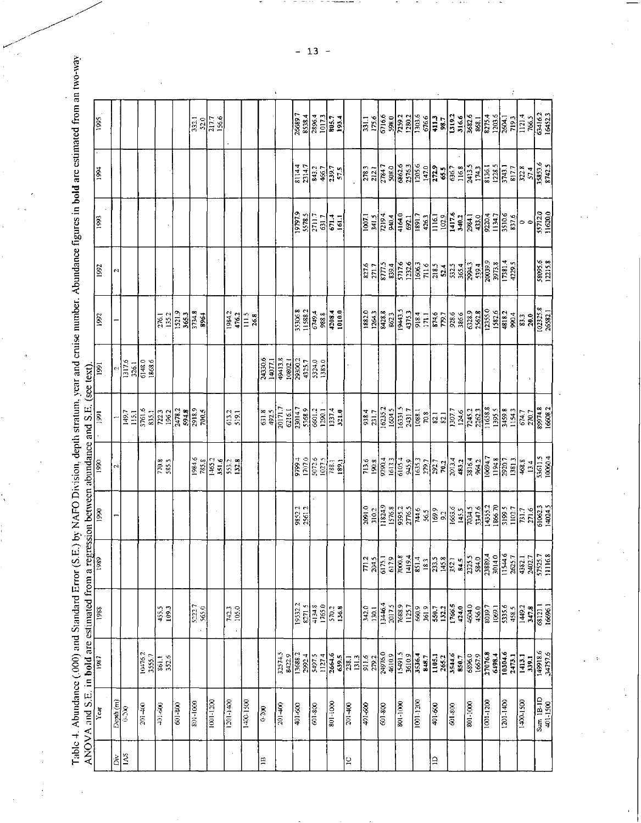Table 4. Abundance (.000) and Standard Error (S.E.) by NAFO Division, depth stratum, year and cruise number. Abundance figures in bold are estimated from an two-way

 $\ddot{\phantom{0}}$ 

 $\begin{array}{c} 1 \\ 1 \\ 2 \\ 3 \end{array}$ 

| $\frac{1}{995}$                                                                               |                      |                  |                   |                        |                                                                                                                                      |          |                        | $\frac{1}{322}$ |                      |                          |                    |                                                    | 26689.7<br>8538.4<br>1017.3<br>1017.3       |                       |         | 805.7                          |                      | $\frac{3311}{756}$ | <u>ါစီမျှ</u><br>အေးအိုး<br>အိုးအိုး                                                                                                                                                                                                                                                          |                      |                        | 676.6                     | 411.3   | <b>98.7</b><br>1319.2  | 316.6                                                                                                                                                                                                                                                                                                                                                                                                                  |                                                 |               |                   | $\begin{array}{ l l }\hline 0 & 0 & 0 & 0 \\ \hline 0 & 0 & 0 & 0 \\ 0 & 0 & 0 & 0 \\ 0 & 0 & 0 & 0 \\ 0 & 0 & 0 & 0 \\ 0 & 0 & 0 & 0 \\ 0 & 0 & 0 & 0 \\ 0 & 0 & 0 & 0 \\ 0 & 0 & 0 & 0 \\ 0 & 0 & 0 & 0 \\ 0 & 0 & 0 & 0 \\ 0 & 0 & 0 & 0 & 0 \\ 0 & 0 & 0 & 0 & 0 \\ 0 & 0 & 0 & 0 & 0 \\ 0 & 0 & 0 & 0 & 0 \\ 0 & 0 & 0 & 0 &$ | $\sqrt{1214}$       | $\frac{7665}{634162}$                                                                                                                                                                                                                                                                |
|-----------------------------------------------------------------------------------------------|----------------------|------------------|-------------------|------------------------|--------------------------------------------------------------------------------------------------------------------------------------|----------|------------------------|-----------------|----------------------|--------------------------|--------------------|----------------------------------------------------|---------------------------------------------|-----------------------|---------|--------------------------------|----------------------|--------------------|-----------------------------------------------------------------------------------------------------------------------------------------------------------------------------------------------------------------------------------------------------------------------------------------------|----------------------|------------------------|---------------------------|---------|------------------------|------------------------------------------------------------------------------------------------------------------------------------------------------------------------------------------------------------------------------------------------------------------------------------------------------------------------------------------------------------------------------------------------------------------------|-------------------------------------------------|---------------|-------------------|------------------------------------------------------------------------------------------------------------------------------------------------------------------------------------------------------------------------------------------------------------------------------------------------------------------------------------|---------------------|--------------------------------------------------------------------------------------------------------------------------------------------------------------------------------------------------------------------------------------------------------------------------------------|
| 194                                                                                           |                      |                  |                   |                        |                                                                                                                                      |          |                        |                 |                      |                          |                    |                                                    | 8114.7<br>2314.7<br>843.2                   |                       | 466.7   | $\overline{\frac{29.7}{57.5}}$ |                      |                    | $\begin{array}{r} 778.3 \\ 778.1 \\ 778.4 \\ 886.3 \\ 862.3 \\ 1010.6 \\ 1121.8 \\ 1121.8 \\ 1121.8 \\ 1121.8 \\ 1131.8 \\ 1131.8 \\ 1131.8 \\ 1131.8 \\ 1131.8 \\ 1131.8 \\ 1131.8 \\ 1131.8 \\ 1131.8 \\ 1131.8 \\ 1131.8 \\ 1131.8 \\ 1131.8 \\ 1131.8 \\ 1131.8 \\ 1131.8 \\ 1131.8 \\ 1$ |                      |                        |                           |         |                        | 116.8                                                                                                                                                                                                                                                                                                                                                                                                                  |                                                 |               |                   | $\begin{array}{c} \begin{array}{c} \begin{array}{c} \text{13.3} \\ \text{14.3} \end{array} \\ \begin{array}{c} \text{14.3} \\ \text{14.3} \end{array} \\ \begin{array}{c} \text{14.3} \\ \text{14.3} \end{array} \\ \begin{array}{c} \text{14.3} \\ \text{14.3} \end{array} \end{array} \end{array}$                               | $\frac{32}{3}$      | 35853.6<br>8742.5<br>57.4                                                                                                                                                                                                                                                            |
| 1993                                                                                          |                      |                  |                   |                        |                                                                                                                                      |          |                        |                 |                      |                          |                    |                                                    | 19797.9<br>STR.5<br>7711.7                  |                       | 631.7   | $\frac{14}{151}$               |                      |                    | $\frac{10071}{2415}$                                                                                                                                                                                                                                                                          | <b>\$040</b>         | $\frac{4164.0}{592.1}$ |                           | 426.3   |                        | $\frac{1029}{1417.6}$                                                                                                                                                                                                                                                                                                                                                                                                  | 2984.1<br>433.0                                 |               |                   | $\frac{1}{3}$                                                                                                                                                                                                                                                                                                                      | $\circ$             | 55712.0<br>11620.0                                                                                                                                                                                                                                                                   |
| 1992                                                                                          | $\sim$               |                  |                   |                        |                                                                                                                                      |          |                        |                 |                      |                          |                    |                                                    |                                             |                       |         |                                |                      |                    | $rac{271}{87715}$                                                                                                                                                                                                                                                                             | $\frac{1394}{57176}$ |                        |                           |         |                        | $\frac{132.6}{1166.3}$ $\frac{11.6}{718.3}$ $\frac{11.6}{133.3}$ $\frac{132.4}{532.4}$                                                                                                                                                                                                                                                                                                                                 | 29943<br>539.4                                  |               | 20039<br>3973.8   | 17381.4<br>4229.5                                                                                                                                                                                                                                                                                                                  |                     | 58095.6                                                                                                                                                                                                                                                                              |
| $\frac{8}{2}$                                                                                 |                      |                  |                   | 135.2<br>276.1         | 1521.9                                                                                                                               |          | $\frac{363}{2248}$     |                 | $\frac{19842}{4762}$ | $\frac{1}{1115}$<br>26.8 |                    |                                                    | 1.588.1<br>1.588.2<br>6749.4                |                       | 988.8   | 4208.4                         |                      |                    | 182.0<br>1264.3<br>8428.8                                                                                                                                                                                                                                                                     | 1943.5<br>862.3      |                        | 4375.3<br>918.4<br>171.1  |         |                        | 874.6<br>779.7<br>928.6<br>386.6                                                                                                                                                                                                                                                                                                                                                                                       | 3383<br>2562.8<br>25550                         |               | 1582.6            | 4818.2                                                                                                                                                                                                                                                                                                                             |                     | $\begin{array}{r} 83.3 \\ 29.0 \\ \hline 10232.8 \\ 26582.1 \end{array}$                                                                                                                                                                                                             |
| 1991                                                                                          |                      | 1317.6<br>326.1  | 6148.0<br>1868.6  |                        |                                                                                                                                      |          |                        |                 |                      |                          | 24330.6<br>14077.1 | \$413.8<br>10802.1<br>10803.57<br>1385.0<br>1385.0 |                                             |                       |         |                                |                      |                    |                                                                                                                                                                                                                                                                                               |                      |                        |                           |         |                        |                                                                                                                                                                                                                                                                                                                                                                                                                        |                                                 |               |                   |                                                                                                                                                                                                                                                                                                                                    |                     |                                                                                                                                                                                                                                                                                      |
|                                                                                               |                      | $149.7$<br>115.1 |                   | 761.6<br>835.1<br>1962 | $\frac{1}{2}$<br>$\frac{1}{2}$<br>$\frac{1}{2}$<br>$\frac{1}{2}$<br>$\frac{1}{2}$<br>$\frac{1}{2}$<br>$\frac{1}{2}$<br>$\frac{1}{2}$ |          |                        |                 | 613.2                |                          |                    | 6318<br>492.5<br>20171.7<br>6216.1                 | 73014.7                                     |                       | 1290.1  | $\frac{1374}{321.0}$           |                      |                    | $\frac{938.4}{16235.2}$                                                                                                                                                                                                                                                                       | 1604.5               |                        |                           |         |                        | $\begin{array}{ l }\n\hline\n1631 \\ 241 \\ 281 \\ 1081 \\ 281 \\ 201 \\ 202\n\end{array}$                                                                                                                                                                                                                                                                                                                             | 7245.2<br>2262.3<br>11658.5<br>1395.5           |               |                   | 3459.8                                                                                                                                                                                                                                                                                                                             |                     | $\frac{6747}{2707}$<br>$\frac{2707}{899748}$                                                                                                                                                                                                                                         |
|                                                                                               |                      |                  |                   | 770.8                  |                                                                                                                                      |          | $\frac{1984.6}{785.8}$ |                 | $\frac{33}{25}$      |                          |                    |                                                    | 9794<br><u>170745</u><br>1907188.1<br>189.1 |                       |         |                                |                      |                    |                                                                                                                                                                                                                                                                                               |                      |                        |                           |         |                        | $\begin{array}{l l} \frac{13}{12} \cdot \frac{13}{12} \cdot \frac{13}{12} \cdot \frac{13}{12} \cdot \frac{13}{12} \cdot \frac{13}{12} \cdot \frac{13}{12} \cdot \frac{13}{12} \cdot \frac{13}{12} \cdot \frac{13}{12} \cdot \frac{13}{12} \cdot \frac{13}{12} \cdot \frac{13}{12} \cdot \frac{13}{12} \cdot \frac{13}{12} \cdot \frac{13}{12} \cdot \frac{13}{12} \cdot \frac{13}{12} \cdot \frac{13}{12} \cdot \frac$ |                                                 |               |                   |                                                                                                                                                                                                                                                                                                                                    |                     | $\frac{13.4}{536115}$                                                                                                                                                                                                                                                                |
| 1990                                                                                          |                      |                  |                   |                        |                                                                                                                                      |          |                        |                 |                      |                          |                    |                                                    | 9852.2<br>2561.2                            |                       |         |                                |                      |                    |                                                                                                                                                                                                                                                                                               |                      |                        |                           |         |                        |                                                                                                                                                                                                                                                                                                                                                                                                                        |                                                 |               |                   |                                                                                                                                                                                                                                                                                                                                    |                     | $\frac{2716}{610623}$                                                                                                                                                                                                                                                                |
|                                                                                               |                      |                  |                   |                        |                                                                                                                                      |          |                        |                 |                      |                          |                    |                                                    |                                             |                       |         |                                |                      |                    |                                                                                                                                                                                                                                                                                               |                      |                        |                           |         |                        |                                                                                                                                                                                                                                                                                                                                                                                                                        |                                                 |               |                   |                                                                                                                                                                                                                                                                                                                                    |                     | $\begin{array}{r} 11.21 & 11.68 \\ 11.21 & 11.68 \\ 11.21 & 11.68 \\ 11.21 & 11.68 \\ 11.21 & 11.68 \\ 11.21 & 11.68 \\ 11.21 & 11.68 \\ 11.21 & 11.68 \\ 11.21 & 11.68 \\ 11.21 & 11.68 \\ 11.21 & 11.68 \\ 11.21 & 11.68 \\ 11.21 & 11.68 \\ 11.21 & 11.68 \\ 11.21 & 11.68 \\ 11$ |
|                                                                                               |                      |                  |                   | 455.5<br>109.3         |                                                                                                                                      |          | S22.7<br>565.0         |                 | $\frac{1423}{1050}$  |                          |                    |                                                    | 19532.2                                     | $\frac{82715}{41348}$ | 1765.0  | $\frac{503}{1368}$             |                      |                    | $\frac{342.0}{13446.4}$                                                                                                                                                                                                                                                                       | 7688.9<br>2017.5     | 1125.7                 | 6609<br>361.9             |         |                        | 550.7<br>132.2<br>1766.5<br>424.0                                                                                                                                                                                                                                                                                                                                                                                      | $\frac{464.0}{456.0}$<br>$\frac{456.0}{8039.7}$ |               |                   | 535.6<br>458.5                                                                                                                                                                                                                                                                                                                     | 1449.2<br>347.8     | 68121.1<br>16696.1                                                                                                                                                                                                                                                                   |
|                                                                                               |                      |                  | 10476.2<br>3555.7 | 861.1                  |                                                                                                                                      |          |                        |                 |                      |                          |                    | 32574.5<br>8422.9                                  | 13688.2                                     | 5497.5<br>2992.4      | 1127.4  | 2664.6                         | $\frac{69.5}{238.1}$ |                    | 911.6<br>279.2<br>24976.0                                                                                                                                                                                                                                                                     | I 6491 5<br>4610.9   |                        | 3610.9<br>3536.4<br>848.7 | 1105.1  | $\frac{265.2}{3544.6}$ | 850.7                                                                                                                                                                                                                                                                                                                                                                                                                  | 6896.0                                          |               | 27076.8<br>6498.4 | 10304.6<br>2473.1                                                                                                                                                                                                                                                                                                                  | 1413.1<br>339.1     | 34757.6                                                                                                                                                                                                                                                                              |
| ANOVA and S.E. in bold are estimated from a regression between abundance and S.E. (see text). | Depth <sub>(m)</sub> | 0.00             | 201400            | $+01 - 600$            | 601-800                                                                                                                              | 801-1000 |                        | 001-1200        | $(201 - 1400)$       | 1400-1500                | 0.200              | 201400                                             | 401-600                                     |                       | 601-800 | 801-1000                       | $\frac{1}{201}$      | 401.600            | 601-800                                                                                                                                                                                                                                                                                       | 001-100              |                        | 0021-1200                 | 401-600 |                        | 601-800                                                                                                                                                                                                                                                                                                                                                                                                                | 801-1000                                        | $1001 - 1200$ |                   | $1201 - 1400$                                                                                                                                                                                                                                                                                                                      | $\frac{1400}{1500}$ | $\frac{11.4}{2}$<br>401-1500                                                                                                                                                                                                                                                         |
|                                                                                               | Ďv                   | 145              |                   |                        |                                                                                                                                      |          |                        |                 | $\epsilon$           |                          | $\Xi$              |                                                    |                                             |                       |         |                                | ō,                   |                    |                                                                                                                                                                                                                                                                                               |                      |                        |                           | $\Xi$   |                        |                                                                                                                                                                                                                                                                                                                                                                                                                        |                                                 |               |                   |                                                                                                                                                                                                                                                                                                                                    |                     |                                                                                                                                                                                                                                                                                      |

ŧ.

 $-13 -$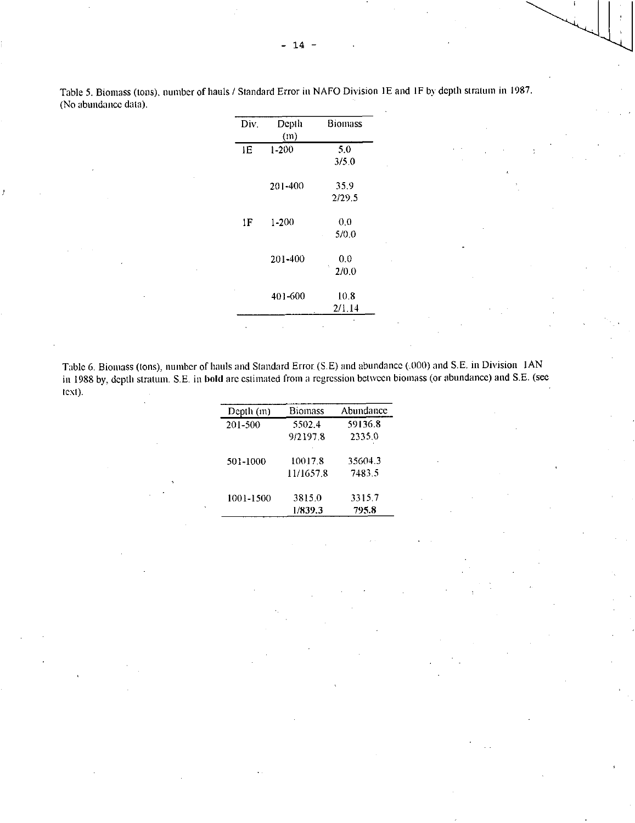Table 5. Biomass (tons), number of hauls / Standard Error in NAFO Division 1E and IF by depth stratum in 1987. (No abundance data).

|                | Depth     | Biomass    |
|----------------|-----------|------------|
| Div.           |           |            |
|                | (m)       |            |
| ΙE             | 1-200     | 5.0        |
|                |           | 3/5.0      |
|                | 201-400   | 35.9       |
|                |           | 2/29.5     |
| 1 <sub>F</sub> | $1 - 200$ | 0.0        |
|                |           | 5/0.0      |
|                | 201-400   | 0.0        |
|                |           | Ŋ<br>2/0.0 |
|                | 401-600   | 10.8       |
|                |           | 2/1.14     |
|                |           |            |

Table 6. Biomass (tons), number of hauls and Standard Error (S.E) and abundance (.000) and S.E. in Division IAN in 1988 by, depth stratum. S.E. in bold arc estimated from a regression between biomass (or abundance) and S.E. (see text).

| Depth (m) | Biomass   | Abundance |
|-----------|-----------|-----------|
| 201-500   | 5502.4    | 59136.8   |
|           | 9/2197.8  | 2335.0    |
| 501-1000  | 10017.8   | 35604.3   |
|           | 11/1657.8 | 7483.5    |
| 1001-1500 | 3815.0    | 33157     |
|           | 1/839.3   | 795.8     |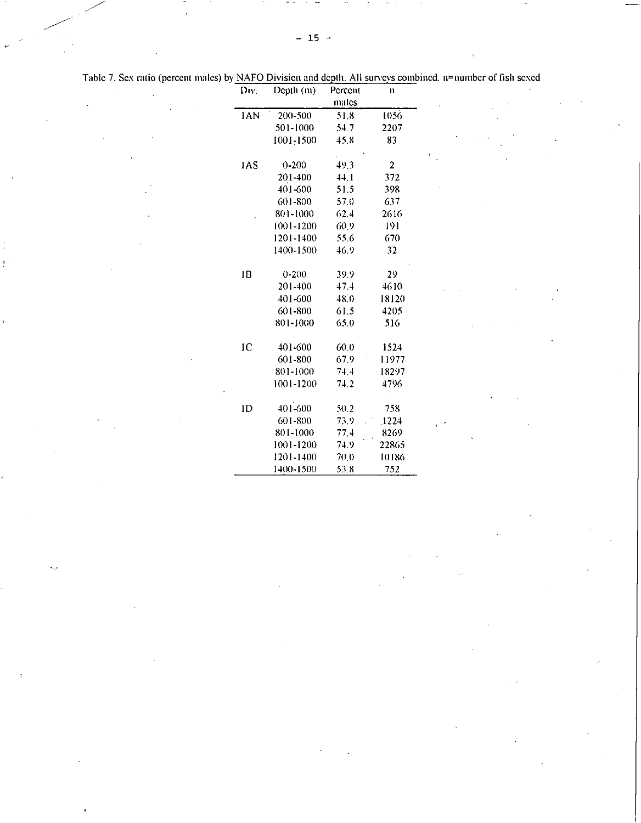|  | Table 7. Sex ratio (percent males) by NAFO Division and depth. All surveys combined. n≅number of fish sexed |  |
|--|-------------------------------------------------------------------------------------------------------------|--|
|  |                                                                                                             |  |

 $\mathcal{A}(\mathcal{A})$  and  $\mathcal{A}(\mathcal{A})$ 

 $\mathcal{F}^{\text{L}}(\mathfrak{p})$  .

| Div.       | Depth (m) | Percent | n              |  |
|------------|-----------|---------|----------------|--|
|            |           | males   |                |  |
| <b>IAN</b> | 200-500   | 51.8    | 1056           |  |
|            | 501-1000  | 54.7    | 2207           |  |
|            | 1001-1500 | 45.8    | 83             |  |
|            |           |         |                |  |
| 1AS        | $0 - 200$ | 49.3    | $\overline{2}$ |  |
|            | 201-400   | 44.1    | 372            |  |
|            | 401-600   | 51.5    | 398            |  |
|            | 601-800   | 57.0    | 637            |  |
|            | 801-1000  | 62.4    | 2616           |  |
|            | 1001-1200 | 60.9    | -191           |  |
|            | 1201-1400 | 55.6    | 670            |  |
|            | 1400-1500 | 46.9    | 32             |  |
|            |           |         |                |  |
| IВ         | $0 - 200$ | 39.9    | 29             |  |
|            | 201-400   | 47.4    | 4610           |  |
|            | 401-600   | 48.0    | 18120          |  |
|            | 601-800   | 61.5    | 4205           |  |
|            | 801-1000  | 65.0    | 516            |  |
|            |           |         |                |  |
| 1C         | 401-600   | 60.0    | 1524           |  |
|            | 601-800   | 67.9    | 11977          |  |
|            | 801-1000  | 74.4    | 18297          |  |
|            | 1001-1200 | 74.2    | 4796           |  |
|            |           |         |                |  |
| ID         | 401-600   | 50.2    | 758            |  |
|            | 601-800   | 73.9    | 1224           |  |
|            | 801-1000  | 77.4    | 8269           |  |
|            | 1001-1200 | 74.9    | 22865          |  |
|            | 1201-1400 | 70.0    | 10186          |  |
|            | 1400-1500 | 53.8    | 752            |  |

 $\label{eq:2.1} \frac{1}{\sqrt{2}}\int_{\mathbb{R}^3}\frac{1}{\sqrt{2}}\left(\frac{1}{\sqrt{2}}\right)^2\frac{1}{\sqrt{2}}\left(\frac{1}{\sqrt{2}}\right)^2\frac{1}{\sqrt{2}}\left(\frac{1}{\sqrt{2}}\right)^2\frac{1}{\sqrt{2}}\left(\frac{1}{\sqrt{2}}\right)^2.$ 

 $\sim 10^{-1}$ 

 $\mathcal{E}^{(1)}_{\text{max}}$  ,  $\mathcal{E}^{(2)}_{\text{max}}$ 

 $\label{eq:2.1} \frac{\partial \mathcal{L}_{\mathcal{G}}}{\partial \mathcal{L}_{\mathcal{G}}} = \frac{1}{2} \sum_{i=1}^n \frac{1}{2} \sum_{j=1}^n \frac{1}{2} \sum_{j=1}^n \frac{1}{2} \sum_{j=1}^n \frac{1}{2} \sum_{j=1}^n \frac{1}{2} \sum_{j=1}^n \frac{1}{2} \sum_{j=1}^n \frac{1}{2} \sum_{j=1}^n \frac{1}{2} \sum_{j=1}^n \frac{1}{2} \sum_{j=1}^n \frac{1}{2} \sum_{j=1}^n \frac{$ 

 $\epsilon$  .

 $\langle \cdot \rangle_{\!\! \mathcal{C}}$ 

 $\frac{1}{3}$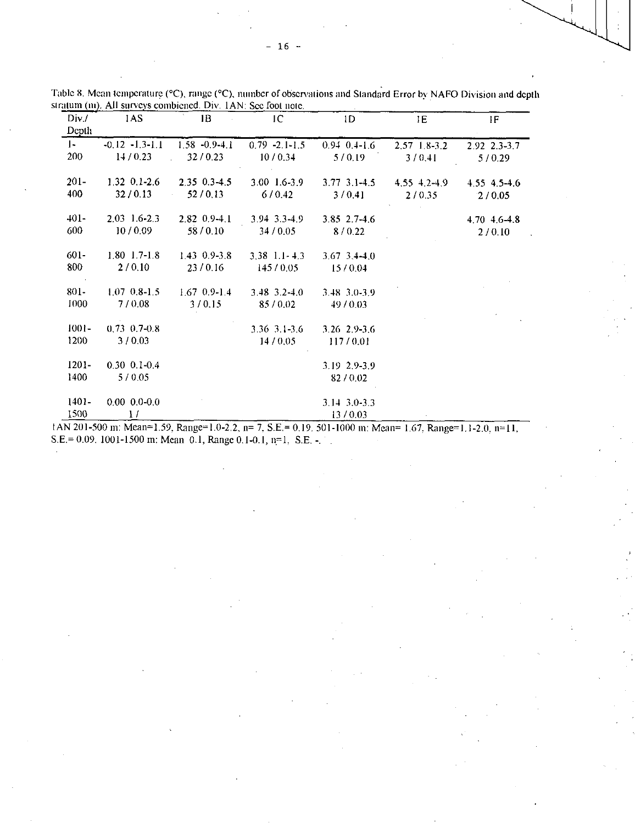| Div /        | 1AS                    | 1B                 | IC                               | 1D                     | 1E               | IF           |
|--------------|------------------------|--------------------|----------------------------------|------------------------|------------------|--------------|
| Depth        |                        |                    |                                  |                        |                  |              |
| $\mathbf{I}$ | $-0.12 - 13 - 1.1$     | $1.58 - 0.9 - 4.1$ | $0.79 - 2.1 - 1.5$               | $0.94 \quad 0.4 - 1.6$ | $2.57$ 1.8-3.2   | 2.92 2.3-3.7 |
| 200          | 14/0.23                | 32/0.23            | 10/0.34                          | 5/0.19                 | 3/0.41           | 5/0.29       |
| $201 -$      | $1.32 \t0.1 - 2.6$     | $2.35 \t0.3-4.5$   | $3.00 \text{ } 1.6 - 3.9$        | $3.77$ $3.1 - 4.5$     | $4.55 \pm 2.4.9$ | 4.55 4.5-4.6 |
| 400          | 32/0.13                | 52/0.13            | 6/0.42                           | 3/0.41                 | 2/0.35           | 2/0.05       |
| $401 -$      | $2.03 \quad 1.6 - 2.3$ | $2.82 \t0.9 - 4.1$ | $3.94$ 3 3 4 9                   | $3.85$ 2.7-4.6         |                  | 4.70 4.6-4.8 |
| 600          | 10/0.09                | 58/0.10            | 34/0.05                          | 8/0.22                 |                  | 2/0.10       |
| 601-         | $1.80$ 1.7-1.8         | $1.43 \t0.9 - 3.8$ | $3,38$ 1 1 4.3                   | $3,67,3,4-4,0$         |                  |              |
| 800          | 2/0.10                 | 23/0.16            | 145/0.05                         | 15/0.04                |                  |              |
| $801 -$      | $1070.8 - 1.5$         | $1.67$ 0.9-1.4     | $3.48 \cdot 3.2 \cdot 1.0$       | $3.48$ $3.0 - 3.9$     |                  |              |
| 1000         | 7/0.08                 | 3/0.15             | 85/0.02                          | 49/0.03                |                  |              |
| $1001 -$     | $0.73 \cdot 0.7 - 0.8$ |                    | $3.36 \cdot 3 \cdot 1 \cdot 3.6$ | 3.26 2.9-3.6           |                  |              |
| 1200         | 3/0.03                 |                    | 14/0.05                          | 117/0.01               |                  |              |
| $1201 -$     | $0.30 \ 0.1 - 0.4$     |                    |                                  | 3.19 2.9-3.9           |                  |              |
| 1400         | 5/0.05                 |                    |                                  | 82/0.02                |                  |              |
| 1401-        | $0.00 \quad 0.0 - 0.0$ |                    |                                  | $3.14$ $3.0 - 3.3$     |                  |              |
| 1500         | $\mathbf{1}$           |                    |                                  | 13/0.03                |                  |              |

Table 8. Mean temperature (°C), range (°C), number of observations and Standard Error by NAFO Division and depth stratum (m). All surveys combicned. Div. IAN: See foot note.

IAN 201-500 m: Mean=1.59, Range=1.0-2.2, n= 7, S.E.= 0.19. 501-1000 in: Mean= 1,67. Range=1,1-2.0, n=11, S.E.= 0.09. 1001-1500 in: Mean 0.1, Range 0.1-0.1, n=1, S.E.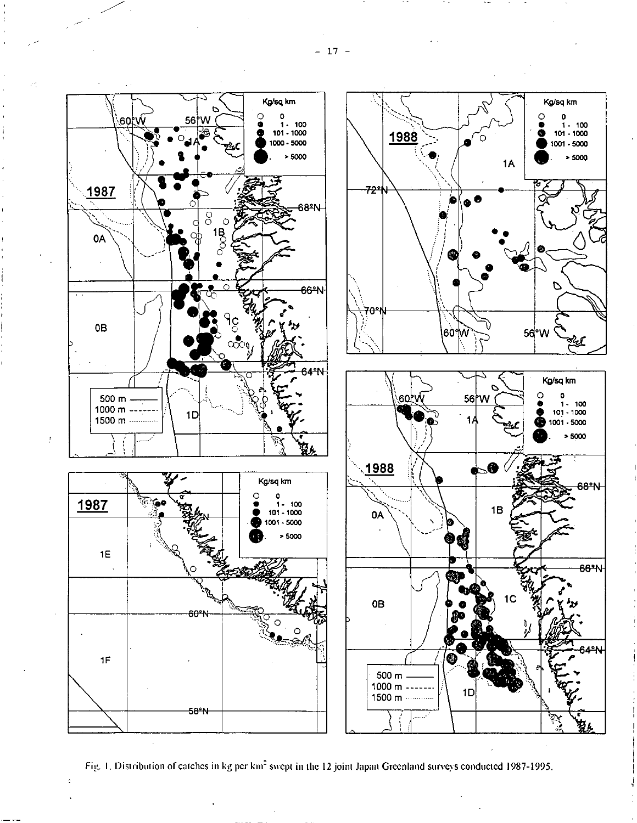

Fig. 1. Distribution of catches in kg per km<sup>2</sup> swept in the 12 joint Japan Greenland surveys conducted 1987-1995.

 $-17 -$ 

- -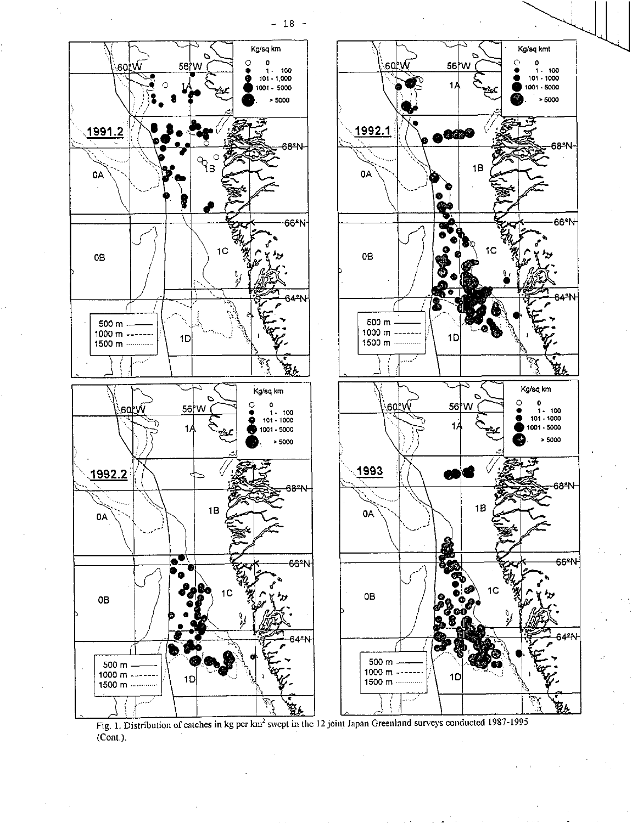$-18 -$ 



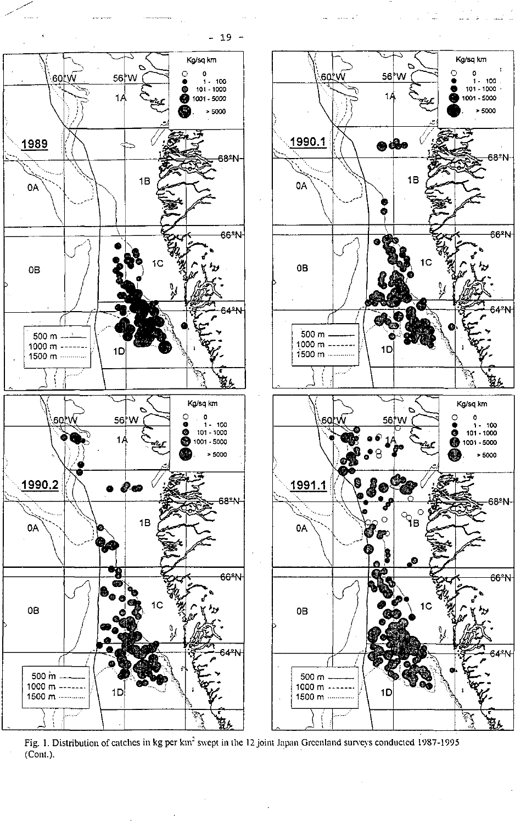$-19 -$ 

 $\omega$  since  $\omega$  as

68°N

66<sup>\*</sup>N

38ºN

66°N



Fig. 1. Distribution of catches in kg per km<sup>2</sup> swept in the 12 joint Japan Greenland surveys conducted 1987-1995 (Cont.).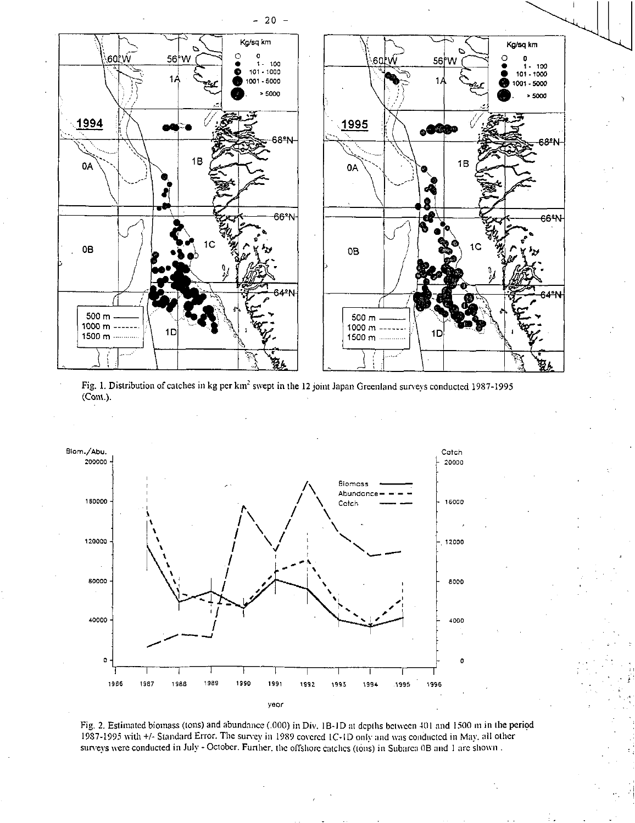

Fig. 1. Distribution of catches in kg per km<sup>2</sup> swept in the 12 joint Japan Greenland surveys conducted 1987-1995 (Cont.).



Fig. 2. Estimated biomass (tons) and abundance (.000) in Div. 1B-1D at depths between 401 and 1500 m in the period 1987-1995 with +/- Standard Error. The survey in 1989 covered 1C-1D only and was conducted in May, all other surveys were conducted in July - October. Further, the offshore catches (tons) in Subarca 0B and 1 arc shown.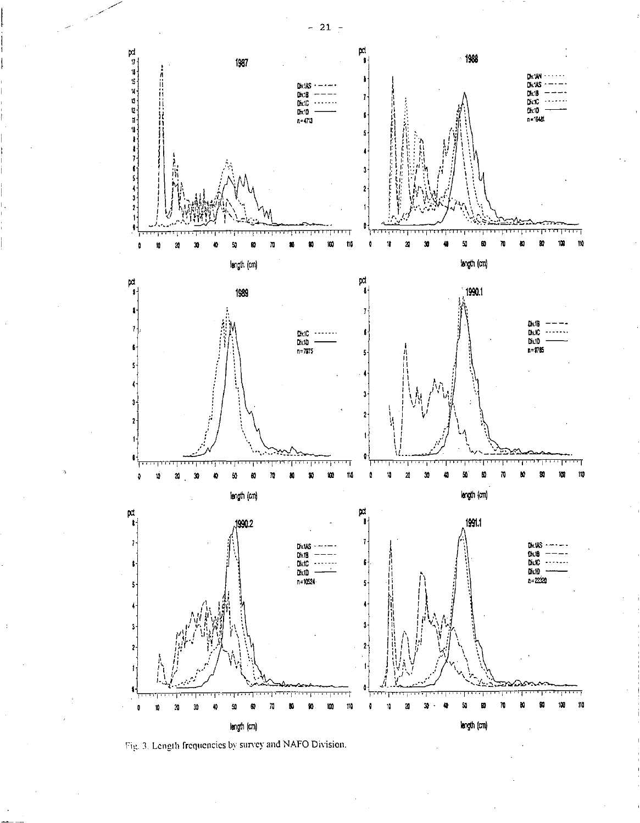

Fig. 3. Length frequencies by survey and NAFO Division.

 $-21$  =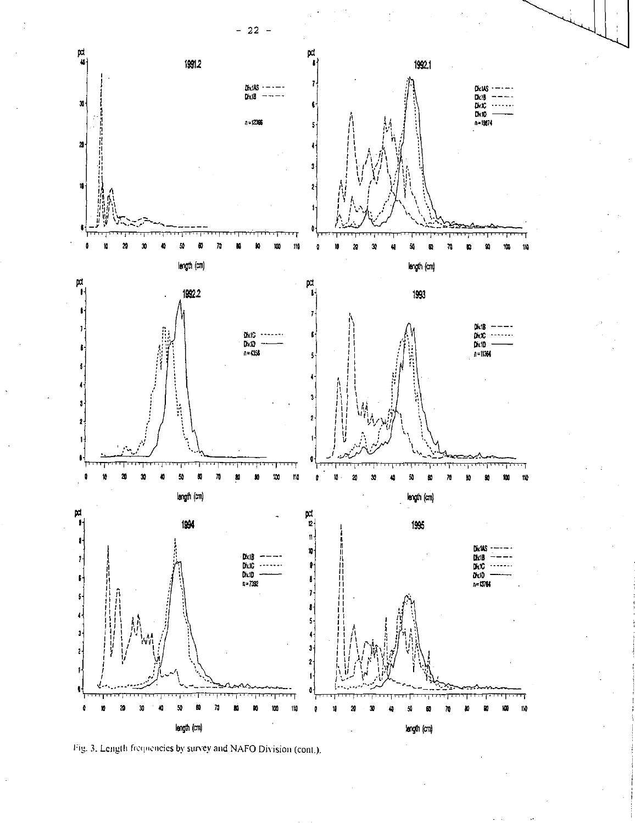

Fig. 3. Length frequencies by survey and NAFO Division (cont.).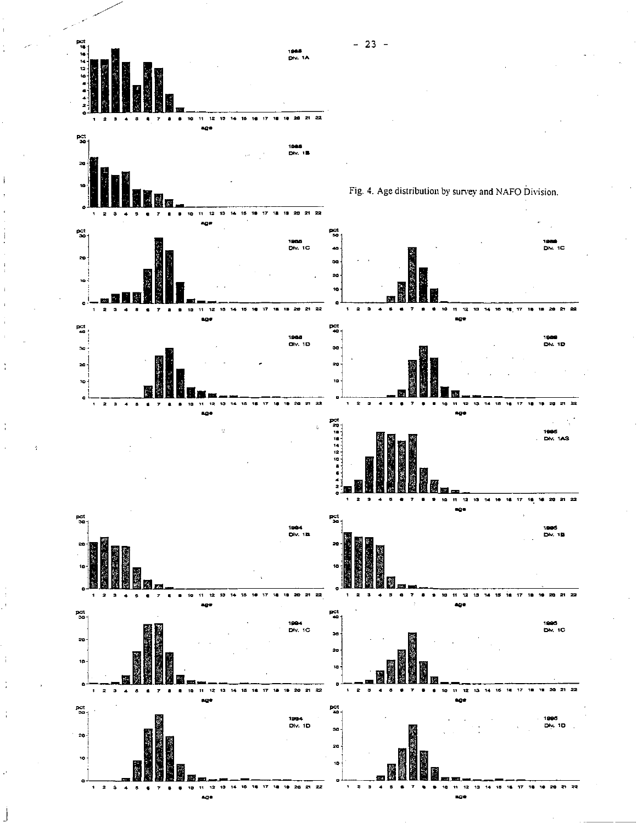